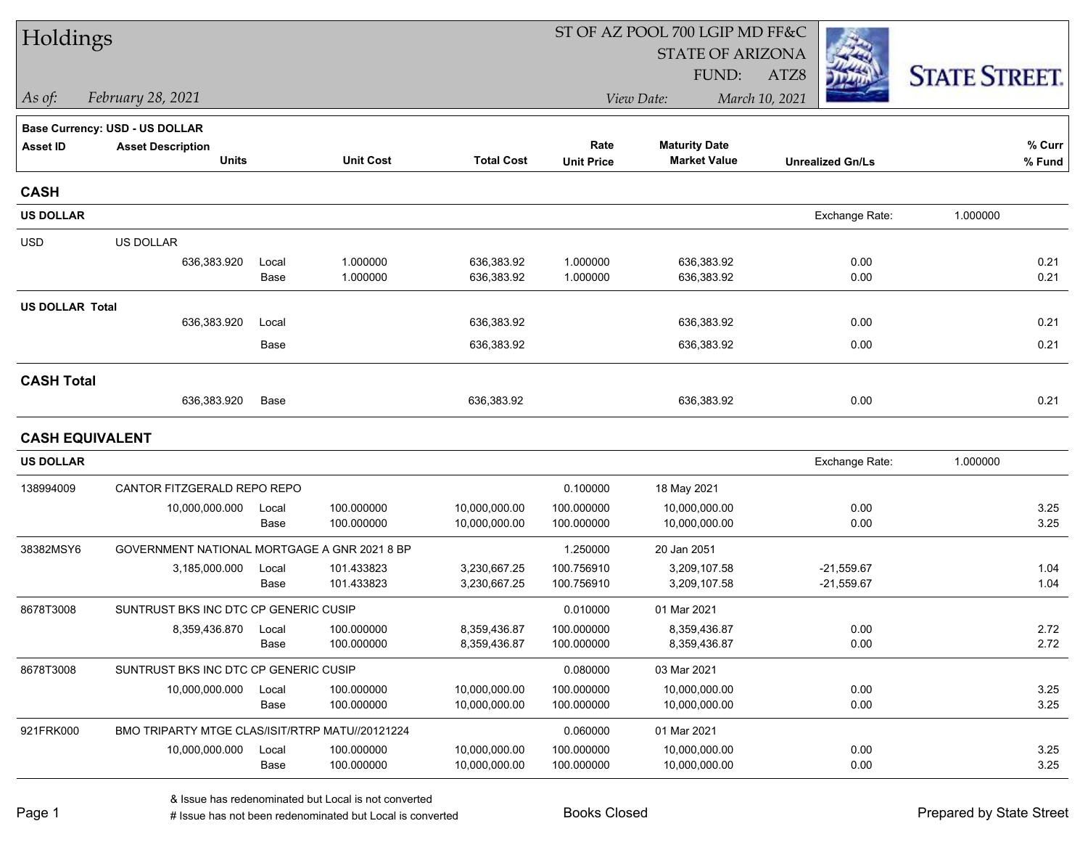| Holdings               |                                                 |       |                  |                   |                   | ST OF AZ POOL 700 LGIP MD FF&C |                         |                      |
|------------------------|-------------------------------------------------|-------|------------------|-------------------|-------------------|--------------------------------|-------------------------|----------------------|
|                        |                                                 |       |                  |                   |                   | <b>STATE OF ARIZONA</b>        |                         |                      |
|                        |                                                 |       |                  |                   |                   | FUND:                          | ATZ8                    | <b>STATE STREET.</b> |
| As of:                 | February 28, 2021                               |       |                  |                   |                   | View Date:                     | March 10, 2021          |                      |
|                        | <b>Base Currency: USD - US DOLLAR</b>           |       |                  |                   |                   |                                |                         |                      |
| <b>Asset ID</b>        | <b>Asset Description</b>                        |       |                  |                   | Rate              | <b>Maturity Date</b>           |                         | % Curr               |
|                        | <b>Units</b>                                    |       | <b>Unit Cost</b> | <b>Total Cost</b> | <b>Unit Price</b> | <b>Market Value</b>            | <b>Unrealized Gn/Ls</b> | % Fund               |
| <b>CASH</b>            |                                                 |       |                  |                   |                   |                                |                         |                      |
| <b>US DOLLAR</b>       |                                                 |       |                  |                   |                   |                                | Exchange Rate:          | 1.000000             |
| <b>USD</b>             | US DOLLAR                                       |       |                  |                   |                   |                                |                         |                      |
|                        | 636,383.920                                     | Local | 1.000000         | 636,383.92        | 1.000000          | 636,383.92                     | 0.00                    | 0.21                 |
|                        |                                                 | Base  | 1.000000         | 636,383.92        | 1.000000          | 636,383.92                     | 0.00                    | 0.21                 |
| <b>US DOLLAR Total</b> |                                                 |       |                  |                   |                   |                                |                         |                      |
|                        | 636,383.920                                     | Local |                  | 636,383.92        |                   | 636,383.92                     | 0.00                    | 0.21                 |
|                        |                                                 | Base  |                  | 636,383.92        |                   | 636,383.92                     | 0.00                    | 0.21                 |
| <b>CASH Total</b>      |                                                 |       |                  |                   |                   |                                |                         |                      |
|                        | 636,383.920                                     | Base  |                  | 636,383.92        |                   | 636,383.92                     | 0.00                    | 0.21                 |
|                        | <b>CASH EQUIVALENT</b>                          |       |                  |                   |                   |                                |                         |                      |
| <b>US DOLLAR</b>       |                                                 |       |                  |                   |                   |                                | Exchange Rate:          | 1.000000             |
| 138994009              | CANTOR FITZGERALD REPO REPO                     |       |                  |                   | 0.100000          | 18 May 2021                    |                         |                      |
|                        | 10,000,000.000                                  | Local | 100.000000       | 10,000,000.00     | 100.000000        | 10,000,000.00                  | 0.00                    | 3.25                 |
|                        |                                                 | Base  | 100.000000       | 10,000,000.00     | 100.000000        | 10,000,000.00                  | 0.00                    | 3.25                 |
| 38382MSY6              | GOVERNMENT NATIONAL MORTGAGE A GNR 2021 8 BP    |       |                  |                   | 1.250000          | 20 Jan 2051                    |                         |                      |
|                        | 3,185,000.000                                   | Local | 101.433823       | 3,230,667.25      | 100.756910        | 3,209,107.58                   | $-21,559.67$            | 1.04                 |
|                        |                                                 | Base  | 101.433823       | 3,230,667.25      | 100.756910        | 3,209,107.58                   | $-21,559.67$            | 1.04                 |
| 8678T3008              | SUNTRUST BKS INC DTC CP GENERIC CUSIP           |       |                  |                   | 0.010000          | 01 Mar 2021                    |                         |                      |
|                        | 8,359,436.870                                   | Local | 100.000000       | 8,359,436.87      | 100.000000        | 8,359,436.87                   | 0.00                    | 2.72                 |
|                        |                                                 | Base  | 100.000000       | 8,359,436.87      | 100.000000        | 8,359,436.87                   | 0.00                    | 2.72                 |
| 8678T3008              | SUNTRUST BKS INC DTC CP GENERIC CUSIP           |       |                  |                   | 0.080000          | 03 Mar 2021                    |                         |                      |
|                        | 10,000,000.000                                  | Local | 100.000000       | 10,000,000.00     | 100.000000        | 10,000,000.00                  | 0.00                    | 3.25                 |
|                        |                                                 | Base  | 100.000000       | 10,000,000.00     | 100.000000        | 10,000,000.00                  | 0.00                    | 3.25                 |
| 921FRK000              | BMO TRIPARTY MTGE CLAS/ISIT/RTRP MATU//20121224 |       |                  |                   | 0.060000          | 01 Mar 2021                    |                         |                      |
|                        | 10,000,000.000                                  | Local | 100.000000       | 10,000,000.00     | 100.000000        | 10,000,000.00                  | 0.00                    | 3.25                 |
|                        |                                                 | Base  | 100.000000       | 10,000,000.00     | 100.000000        | 10,000,000.00                  | 0.00                    | 3.25                 |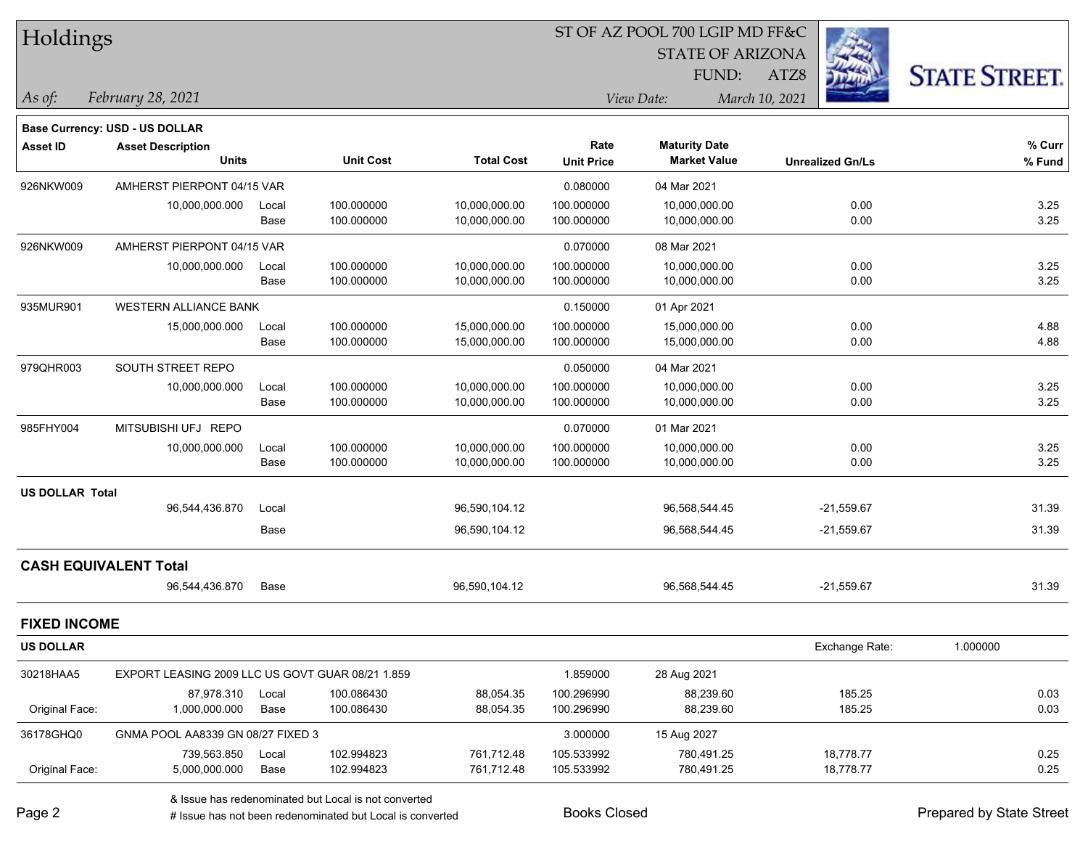| Holdings               |                                                  |       |                  |                   |                   | ST OF AZ POOL 700 LGIP MD FF&C |                         |                      |  |
|------------------------|--------------------------------------------------|-------|------------------|-------------------|-------------------|--------------------------------|-------------------------|----------------------|--|
|                        |                                                  |       |                  |                   |                   | <b>STATE OF ARIZONA</b>        |                         |                      |  |
|                        |                                                  |       |                  |                   |                   | FUND:                          | ATZ8                    | <b>STATE STREET.</b> |  |
| $\vert$ As of:         | February 28, 2021                                |       |                  |                   |                   | View Date:                     | March 10, 2021          |                      |  |
|                        | <b>Base Currency: USD - US DOLLAR</b>            |       |                  |                   |                   |                                |                         |                      |  |
| <b>Asset ID</b>        | <b>Asset Description</b>                         |       |                  |                   | Rate              | <b>Maturity Date</b>           |                         | % Curr               |  |
|                        | <b>Units</b>                                     |       | <b>Unit Cost</b> | <b>Total Cost</b> | <b>Unit Price</b> | <b>Market Value</b>            | <b>Unrealized Gn/Ls</b> | % Fund               |  |
| 926NKW009              | AMHERST PIERPONT 04/15 VAR                       |       |                  |                   | 0.080000          | 04 Mar 2021                    |                         |                      |  |
|                        | 10,000,000.000                                   | Local | 100.000000       | 10,000,000.00     | 100.000000        | 10,000,000.00                  | 0.00                    | 3.25                 |  |
|                        |                                                  | Base  | 100.000000       | 10,000,000.00     | 100.000000        | 10,000,000.00                  | 0.00                    | 3.25                 |  |
| 926NKW009              | AMHERST PIERPONT 04/15 VAR                       |       |                  |                   | 0.070000          | 08 Mar 2021                    |                         |                      |  |
|                        | 10,000,000.000                                   | Local | 100.000000       | 10,000,000.00     | 100.000000        | 10,000,000.00                  | 0.00                    | 3.25                 |  |
|                        |                                                  | Base  | 100.000000       | 10,000,000.00     | 100.000000        | 10,000,000.00                  | 0.00                    | 3.25                 |  |
| 935MUR901              | <b>WESTERN ALLIANCE BANK</b>                     |       |                  |                   | 0.150000          | 01 Apr 2021                    |                         |                      |  |
|                        | 15,000,000.000                                   | Local | 100.000000       | 15,000,000.00     | 100.000000        | 15,000,000.00                  | 0.00                    | 4.88                 |  |
|                        |                                                  | Base  | 100.000000       | 15,000,000.00     | 100.000000        | 15,000,000.00                  | 0.00                    | 4.88                 |  |
| 979QHR003              | SOUTH STREET REPO                                |       |                  |                   | 0.050000          | 04 Mar 2021                    |                         |                      |  |
|                        | 10,000,000.000                                   | Local | 100.000000       | 10,000,000.00     | 100.000000        | 10,000,000.00                  | 0.00                    | 3.25                 |  |
|                        |                                                  | Base  | 100.000000       | 10,000,000.00     | 100.000000        | 10,000,000.00                  | 0.00                    | 3.25                 |  |
| 985FHY004              | MITSUBISHI UFJ REPO                              |       |                  |                   | 0.070000          | 01 Mar 2021                    |                         |                      |  |
|                        | 10,000,000.000                                   | Local | 100.000000       | 10,000,000.00     | 100.000000        | 10,000,000.00                  | 0.00                    | 3.25                 |  |
|                        |                                                  | Base  | 100.000000       | 10,000,000.00     | 100.000000        | 10,000,000.00                  | 0.00                    | 3.25                 |  |
| <b>US DOLLAR Total</b> |                                                  |       |                  |                   |                   |                                |                         |                      |  |
|                        | 96,544,436.870                                   | Local |                  | 96,590,104.12     |                   | 96,568,544.45                  | $-21,559.67$            | 31.39                |  |
|                        |                                                  | Base  |                  | 96,590,104.12     |                   | 96,568,544.45                  | $-21,559.67$            | 31.39                |  |
|                        | <b>CASH EQUIVALENT Total</b>                     |       |                  |                   |                   |                                |                         |                      |  |
|                        | 96,544,436.870                                   | Base  |                  | 96,590,104.12     |                   | 96,568,544.45                  | $-21,559.67$            | 31.39                |  |
| <b>FIXED INCOME</b>    |                                                  |       |                  |                   |                   |                                |                         |                      |  |
| <b>US DOLLAR</b>       |                                                  |       |                  |                   |                   |                                | Exchange Rate:          | 1.000000             |  |
| 30218HAA5              | EXPORT LEASING 2009 LLC US GOVT GUAR 08/21 1.859 |       |                  |                   | 1.859000          | 28 Aug 2021                    |                         |                      |  |
|                        | 87,978.310                                       | Local | 100.086430       | 88,054.35         | 100.296990        | 88,239.60                      | 185.25                  | 0.03                 |  |
| Original Face:         | 1,000,000.000                                    | Base  | 100.086430       | 88,054.35         | 100.296990        | 88,239.60                      | 185.25                  | 0.03                 |  |
| 36178GHQ0              | GNMA POOL AA8339 GN 08/27 FIXED 3                |       |                  |                   | 3.000000          | 15 Aug 2027                    |                         |                      |  |
|                        | 739,563.850                                      | Local | 102.994823       | 761,712.48        | 105.533992        | 780,491.25                     | 18,778.77               | 0.25                 |  |
| Original Face:         | 5,000,000.000                                    | Base  | 102.994823       | 761,712.48        | 105.533992        | 780,491.25                     | 18,778.77               | 0.25                 |  |

& Issue has redenominated but Local is not converted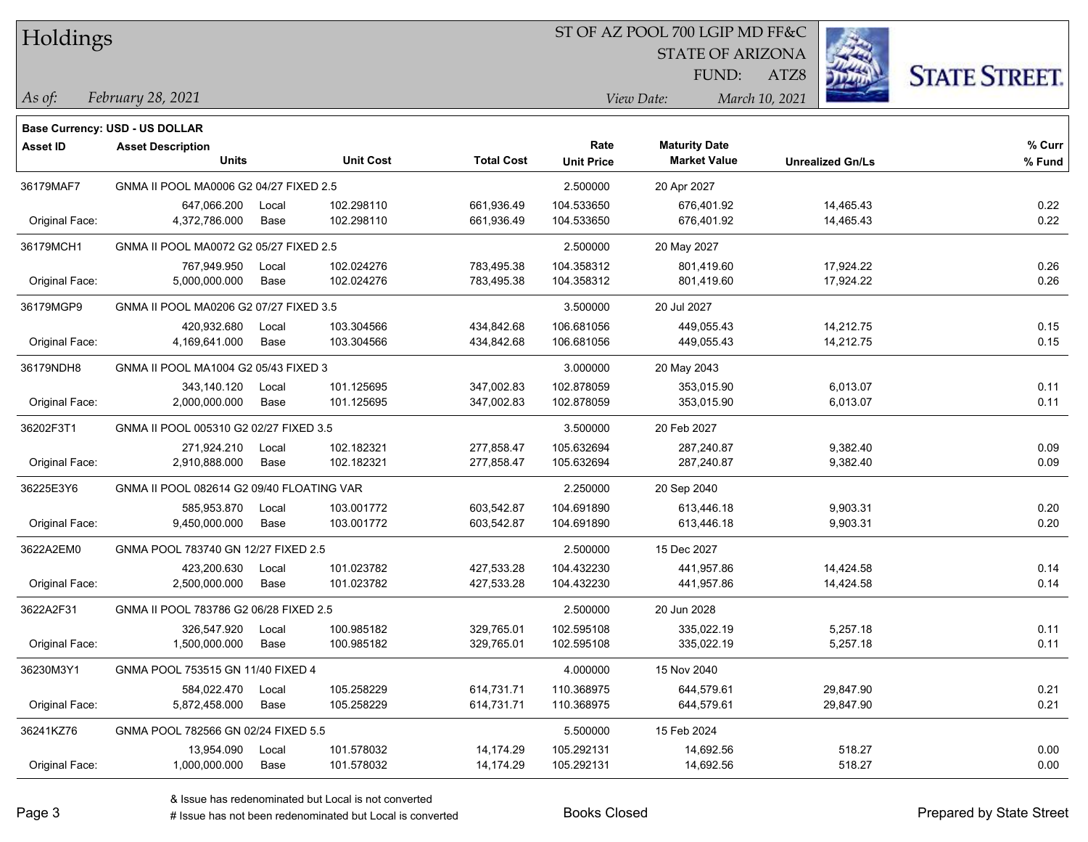| Holdings |
|----------|
|          |

#### ST OF AZ POOL 700 LGIP MD FF&C

**Maturity Date**

STATE OF ARIZONA

ATZ8



**% Curr**

*February 28, 2021 As of: View Date: March 10, 2021*

**Base Currency: USD - US DOLLAR**

FUND:

|                | <b>Units</b>                              |       | <b>Unit Cost</b> | <b>Total Cost</b> | <b>Unit Price</b> | <b>Market Value</b> | <b>Unrealized Gn/Ls</b> | % Fund |
|----------------|-------------------------------------------|-------|------------------|-------------------|-------------------|---------------------|-------------------------|--------|
| 36179MAF7      | GNMA II POOL MA0006 G2 04/27 FIXED 2.5    |       |                  |                   | 2.500000          | 20 Apr 2027         |                         |        |
|                | 647,066.200                               | Local | 102.298110       | 661,936.49        | 104.533650        | 676,401.92          | 14,465.43               | 0.22   |
| Original Face: | 4,372,786.000                             | Base  | 102.298110       | 661,936.49        | 104.533650        | 676,401.92          | 14,465.43               | 0.22   |
| 36179MCH1      | GNMA II POOL MA0072 G2 05/27 FIXED 2.5    |       |                  |                   | 2.500000          | 20 May 2027         |                         |        |
|                | 767,949.950                               | Local | 102.024276       | 783,495.38        | 104.358312        | 801,419.60          | 17,924.22               | 0.26   |
| Original Face: | 5,000,000.000                             | Base  | 102.024276       | 783,495.38        | 104.358312        | 801,419.60          | 17,924.22               | 0.26   |
| 36179MGP9      | GNMA II POOL MA0206 G2 07/27 FIXED 3.5    |       |                  | 3.500000          | 20 Jul 2027       |                     |                         |        |
|                | 420,932.680                               | Local | 103.304566       | 434,842.68        | 106.681056        | 449,055.43          | 14,212.75               | 0.15   |
| Original Face: | 4,169,641.000                             | Base  | 103.304566       | 434,842.68        | 106.681056        | 449,055.43          | 14,212.75               | 0.15   |
| 36179NDH8      | GNMA II POOL MA1004 G2 05/43 FIXED 3      |       |                  |                   | 3.000000          | 20 May 2043         |                         |        |
|                | 343,140.120                               | Local | 101.125695       | 347,002.83        | 102.878059        | 353,015.90          | 6,013.07                | 0.11   |
| Original Face: | 2,000,000.000                             | Base  | 101.125695       | 347,002.83        | 102.878059        | 353,015.90          | 6,013.07                | 0.11   |
| 36202F3T1      | GNMA II POOL 005310 G2 02/27 FIXED 3.5    |       |                  |                   | 3.500000          | 20 Feb 2027         |                         |        |
|                | 271,924.210                               | Local | 102.182321       | 277,858.47        | 105.632694        | 287,240.87          | 9,382.40                | 0.09   |
| Original Face: | 2,910,888.000                             | Base  | 102.182321       | 277,858.47        | 105.632694        | 287,240.87          | 9,382.40                | 0.09   |
| 36225E3Y6      | GNMA II POOL 082614 G2 09/40 FLOATING VAR |       |                  |                   | 2.250000          | 20 Sep 2040         |                         |        |

Original Face: 9,450,000.000 Base 103.001772 603,542.87 104.691890 613,446.18 9,903.31 0.20

Original Face: 2,500,000.000 Base 101.023782 427,533.28 104.432230 441,957.86 14,424.58 0.14

Original Face: 1,500,000.000 Base 100.985182 329,765.01 102.595108 335,022.19 5,257.18 0.11

Original Face: 5,872,458.000 Base 105.258229 614,731.71 110.368975 644,579.61 29,847.90 0.21

Original Face: 1,000,000.000 Base 101.578032 14,174.29 105.292131 14,692.56 518.27 0.00

& Issue has redenominated but Local is not converted

**Asset ID Asset Description Rate**

3622A2EM0 GNMA POOL 783740 GN 12/27 FIXED 2.5 2.500000 15 Dec 2027

3622A2F31 GNMA II POOL 783786 G2 06/28 FIXED 2.5 2.500000 20 Jun 2028

36230M3Y1 GNMA POOL 753515 GN 11/40 FIXED 4 4.000000 15 Nov 2040

36241KZ76 GNMA POOL 782566 GN 02/24 FIXED 5.5 SOOL SERIES AND STRING TO A SHOOL TO SALL SERIES AND STRING TO S

585,953.870 Local 103.001772 603,542.87 104.691890 613,446.18 9,903.31 0.20

423,200.630 Local 101.023782 427,533.28 104.432230 441,957.86 14,424.58 0.14

326,547.920 Local 100.985182 329,765.01 102.595108 335,022.19 5,257.18 0.11

584,022.470 Local 105.258229 614,731.71 110.368975 644,579.61 29,847.90 0.21

13,954.090 Local 101.578032 14,174.29 105.292131 14,692.56 518.27 0.00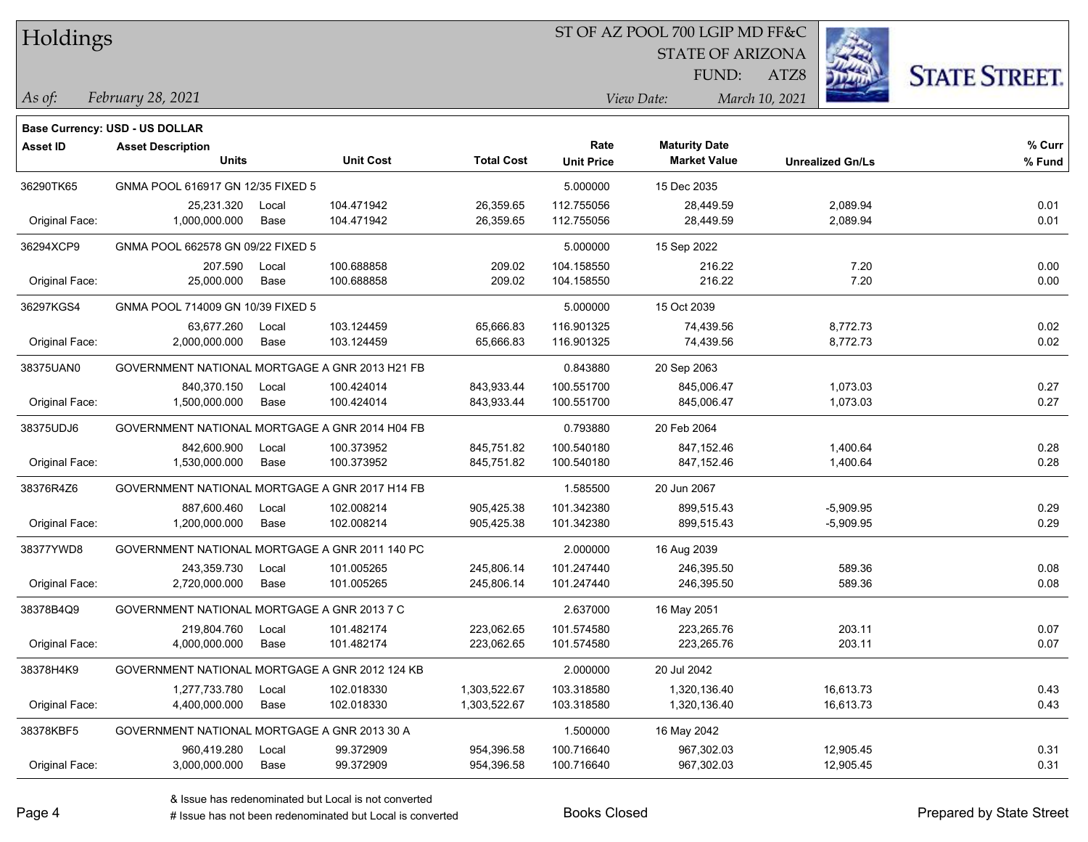#### ST OF AZ POOL 700 LGIP MD FF&C

**Maturity Date**

STATE OF ARIZONA

ATZ8



**% Fund**

**% Curr**

*February 28, 2021 As of: View Date: March 10, 2021*

**Base Currency: USD - US DOLLAR**

FUND:

|                | <b>Units</b>                                   |       | <b>Unit Cost</b> | <b>Total Cost</b> | <b>Unit Price</b> | <b>Market Value</b> | <b>Unrealized Gn/Ls</b> | % Fun |
|----------------|------------------------------------------------|-------|------------------|-------------------|-------------------|---------------------|-------------------------|-------|
| 36290TK65      | GNMA POOL 616917 GN 12/35 FIXED 5              |       |                  |                   | 5.000000          | 15 Dec 2035         |                         |       |
|                | 25,231.320                                     | Local | 104.471942       | 26,359.65         | 112.755056        | 28,449.59           | 2,089.94                | 0.01  |
| Original Face: | 1,000,000.000                                  | Base  | 104.471942       | 26,359.65         | 112.755056        | 28,449.59           | 2,089.94                | 0.01  |
| 36294XCP9      | GNMA POOL 662578 GN 09/22 FIXED 5              |       |                  |                   | 5.000000          | 15 Sep 2022         |                         |       |
|                | 207.590                                        | Local | 100.688858       | 209.02            | 104.158550        | 216.22              | 7.20                    | 0.00  |
| Original Face: | 25,000.000                                     | Base  | 100.688858       | 209.02            | 104.158550        | 216.22              | 7.20                    | 0.00  |
| 36297KGS4      | GNMA POOL 714009 GN 10/39 FIXED 5              |       |                  |                   | 5.000000          | 15 Oct 2039         |                         |       |
|                | 63,677.260                                     | Local | 103.124459       | 65,666.83         | 116.901325        | 74,439.56           | 8,772.73                | 0.02  |
| Original Face: | 2,000,000.000                                  | Base  | 103.124459       | 65,666.83         | 116.901325        | 74,439.56           | 8,772.73                | 0.02  |
| 38375UAN0      | GOVERNMENT NATIONAL MORTGAGE A GNR 2013 H21 FB |       |                  |                   | 0.843880          | 20 Sep 2063         |                         |       |
|                | 840.370.150                                    | Local | 100.424014       | 843,933.44        | 100.551700        | 845,006.47          | 1,073.03                | 0.27  |
| Original Face: | 1,500,000.000                                  | Base  | 100.424014       | 843,933.44        | 100.551700        | 845,006.47          | 1,073.03                | 0.27  |
| 38375UDJ6      | GOVERNMENT NATIONAL MORTGAGE A GNR 2014 H04 FB |       |                  |                   | 0.793880          | 20 Feb 2064         |                         |       |
|                | 842.600.900                                    | Local | 100.373952       | 845.751.82        | 100.540180        | 847,152.46          | 1,400.64                | 0.28  |
| Original Face: | 1,530,000.000                                  | Base  | 100.373952       | 845,751.82        | 100.540180        | 847,152.46          | 1,400.64                | 0.28  |
| 38376R4Z6      | GOVERNMENT NATIONAL MORTGAGE A GNR 2017 H14 FB |       |                  |                   | 1.585500          | 20 Jun 2067         |                         |       |
|                | 887.600.460                                    | Local | 102.008214       | 905,425.38        | 101.342380        | 899,515.43          | $-5,909.95$             | 0.29  |
| Original Face: | 1,200,000.000                                  | Base  | 102.008214       | 905,425.38        | 101.342380        | 899,515.43          | $-5,909.95$             | 0.29  |
| 38377YWD8      | GOVERNMENT NATIONAL MORTGAGE A GNR 2011 140 PC |       |                  |                   | 2.000000          | 16 Aug 2039         |                         |       |
|                | 243,359.730                                    | Local | 101.005265       | 245,806.14        | 101.247440        | 246,395.50          | 589.36                  | 0.08  |
| Original Face: | 2,720,000.000                                  | Base  | 101.005265       | 245,806.14        | 101.247440        | 246,395.50          | 589.36                  | 0.08  |
| 38378B4Q9      | GOVERNMENT NATIONAL MORTGAGE A GNR 2013 7 C    |       |                  |                   | 2.637000          | 16 May 2051         |                         |       |
|                | 219,804.760                                    | Local | 101.482174       | 223,062.65        | 101.574580        | 223,265.76          | 203.11                  | 0.07  |
| Original Face: | 4,000,000.000                                  | Base  | 101.482174       | 223,062.65        | 101.574580        | 223,265.76          | 203.11                  | 0.07  |
| 38378H4K9      | GOVERNMENT NATIONAL MORTGAGE A GNR 2012 124 KB |       |                  |                   | 2.000000          | 20 Jul 2042         |                         |       |

38378KBF5 GOVERNMENT NATIONAL MORTGAGE A GNR 2013 30 A 1.500000 16 May 2042

**Asset ID Asset Description Rate**

1,277,733.780 Local 102.018330 1,303,522.67 103.318580 1,320,136.40 16,613.73 0.43

960,419.280 Local 99.372909 954,396.58 100.716640 967,302.03 12,905.45 0.31

Original Face: 4,400,000.000 Base 102.018330 1,303,522.67 103.318580 1,320,136.40 16,613.73 0.43

Original Face: 3,000,000.000 Base 99.372909 954,396.58 100.716640 967,302.03 12,905.45 0.31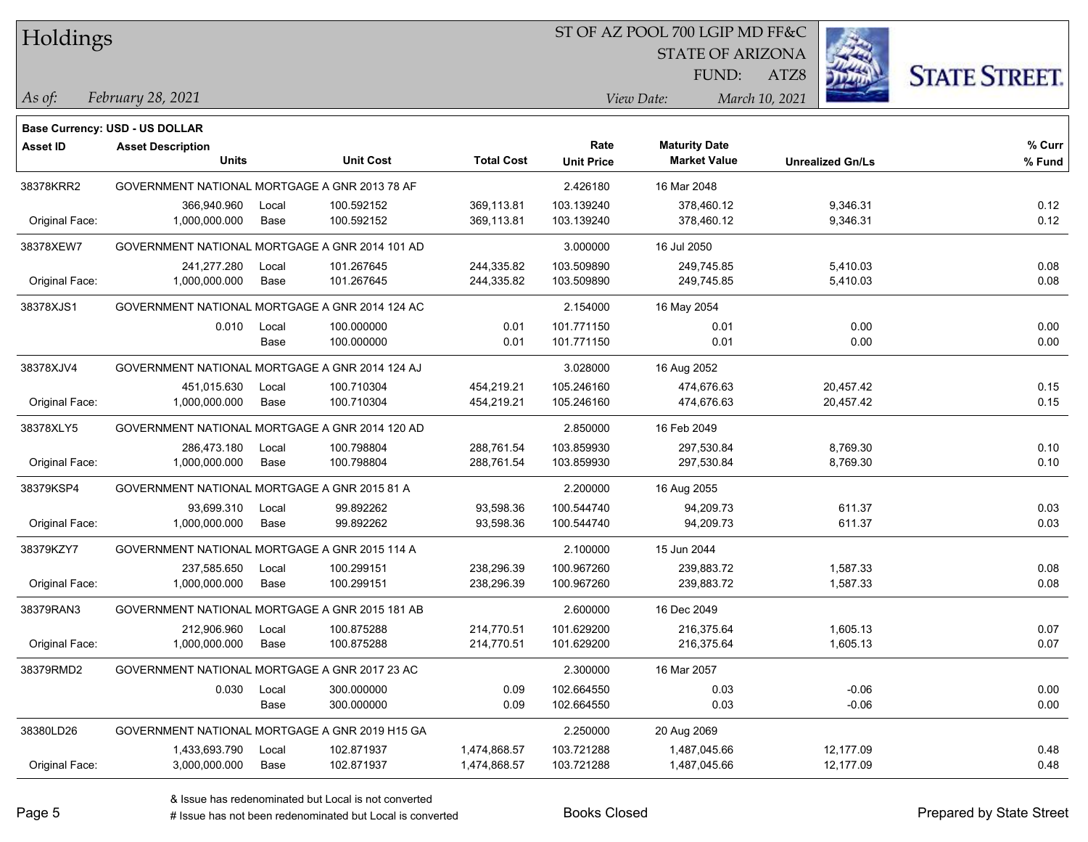|  | <b>Holdings</b> |
|--|-----------------|
|  |                 |

#### ST OF AZ POOL 700 LGIP MD FF&C

STATE OF ARIZONA

ATZ8



**% Fund**

**% Curr**

*February 28, 2021 As of: View Date: March 10, 2021*

**Base Currency: USD - US DOLLAR**

FUND:

**Maturity Date**

| 38378KRR2                                 | GOVERNMENT NATIONAL MORTGAGE A GNR 2013 78 AF   |       |            |            | 2.426180   | 16 Mar 2048 |           |      |
|-------------------------------------------|-------------------------------------------------|-------|------------|------------|------------|-------------|-----------|------|
|                                           | 366,940.960                                     | Local | 100.592152 | 369,113.81 | 103.139240 | 378,460.12  | 9,346.31  | 0.12 |
| Original Face:                            | 1,000,000.000                                   | Base  | 100.592152 | 369,113.81 | 103.139240 | 378,460.12  | 9,346.31  | 0.12 |
| 38378XEW7                                 | GOVERNMENT NATIONAL MORTGAGE A GNR 2014 101 AD  |       |            |            | 3.000000   | 16 Jul 2050 |           |      |
|                                           | 241,277.280                                     | Local | 101.267645 | 244,335.82 | 103.509890 | 249.745.85  | 5,410.03  | 0.08 |
| Original Face:                            | 1,000,000.000                                   | Base  | 101.267645 | 244,335.82 | 103.509890 | 249,745.85  | 5,410.03  | 0.08 |
| 38378XJS1                                 | GOVERNMENT NATIONAL MORTGAGE A GNR 2014 124 AC  |       |            |            | 2.154000   | 16 May 2054 |           |      |
|                                           | 0.010                                           | Local | 100.000000 | 0.01       | 101.771150 | 0.01        | 0.00      | 0.00 |
|                                           |                                                 | Base  | 100.000000 | 0.01       | 101.771150 | 0.01        | 0.00      | 0.00 |
| 38378XJV4                                 | GOVERNMENT NATIONAL MORTGAGE A GNR 2014 124 AJ  |       |            |            | 3.028000   | 16 Aug 2052 |           |      |
|                                           | 451,015.630                                     | Local | 100.710304 | 454,219.21 | 105.246160 | 474,676.63  | 20,457.42 | 0.15 |
| Original Face:                            | 1,000,000.000                                   | Base  | 100.710304 | 454,219.21 | 105.246160 | 474,676.63  | 20,457.42 | 0.15 |
| 38378XLY5                                 | GOVERNMENT NATIONAL MORTGAGE A GNR 2014 120 AD  |       |            |            | 2.850000   | 16 Feb 2049 |           |      |
|                                           | 286,473.180                                     | Local | 100.798804 | 288,761.54 | 103.859930 | 297,530.84  | 8,769.30  | 0.10 |
| Original Face:                            | 1,000,000.000                                   | Base  | 100.798804 | 288,761.54 | 103.859930 | 297,530.84  | 8,769.30  | 0.10 |
| 38379KSP4                                 | GOVERNMENT NATIONAL MORTGAGE A GNR 2015 81 A    |       |            |            | 2.200000   | 16 Aug 2055 |           |      |
|                                           | 93,699.310                                      | Local | 99.892262  | 93,598.36  | 100.544740 | 94,209.73   | 611.37    | 0.03 |
| Original Face:                            | 1.000.000.000                                   | Base  | 99.892262  | 93,598.36  | 100.544740 | 94,209.73   | 611.37    | 0.03 |
| 38379KZY7                                 | GOVERNMENT NATIONAL MORTGAGE A GNR 2015 114 A   |       |            |            | 2.100000   | 15 Jun 2044 |           |      |
|                                           | 237,585.650                                     | Local | 100.299151 | 238,296.39 | 100.967260 | 239,883.72  | 1,587.33  | 0.08 |
| Original Face:                            | 1,000,000.000                                   | Base  | 100.299151 | 238,296.39 | 100.967260 | 239,883.72  | 1,587.33  | 0.08 |
| $\begin{array}{c}\n0 \\ 0 \\ \end{array}$ | COVEDNIMENT NATIONAL MODICACE A CND 2015 101 AD |       |            |            | 0.00000    | 10.0330     |           |      |

**Units Unit Cost Total Cost Unit Price Market Value Unrealized Gn/Ls**

| 38379RAN3      | GOVERNMENT NATIONAL MORTGAGE A GNR 2015 181 AB |       |            |              | 2.600000   | 16 Dec 2049  |           |      |
|----------------|------------------------------------------------|-------|------------|--------------|------------|--------------|-----------|------|
|                | 212,906.960                                    | Local | 100.875288 | 214.770.51   | 101.629200 | 216.375.64   | 1.605.13  | 0.07 |
| Original Face: | 1,000,000.000                                  | Base  | 100.875288 | 214.770.51   | 101.629200 | 216.375.64   | 1.605.13  | 0.07 |
| 38379RMD2      | GOVERNMENT NATIONAL MORTGAGE A GNR 2017 23 AC  |       |            |              | 2.300000   | 16 Mar 2057  |           |      |
|                | 0.030                                          | Local | 300.000000 | 0.09         | 102.664550 | 0.03         | $-0.06$   | 0.00 |
|                |                                                | Base  | 300.000000 | 0.09         | 102.664550 | 0.03         | $-0.06$   | 0.00 |
| 38380LD26      | GOVERNMENT NATIONAL MORTGAGE A GNR 2019 H15 GA |       |            |              | 2.250000   | 20 Aug 2069  |           |      |
|                | 1.433.693.790                                  | Local | 102.871937 | 1.474.868.57 | 103.721288 | 1.487.045.66 | 12.177.09 | 0.48 |
| Original Face: | 3,000,000.000                                  | Base  | 102.871937 | 1,474,868.57 | 103.721288 | 1,487,045.66 | 12.177.09 | 0.48 |
|                |                                                |       |            |              |            |              |           |      |

**Asset ID Asset Description Rate**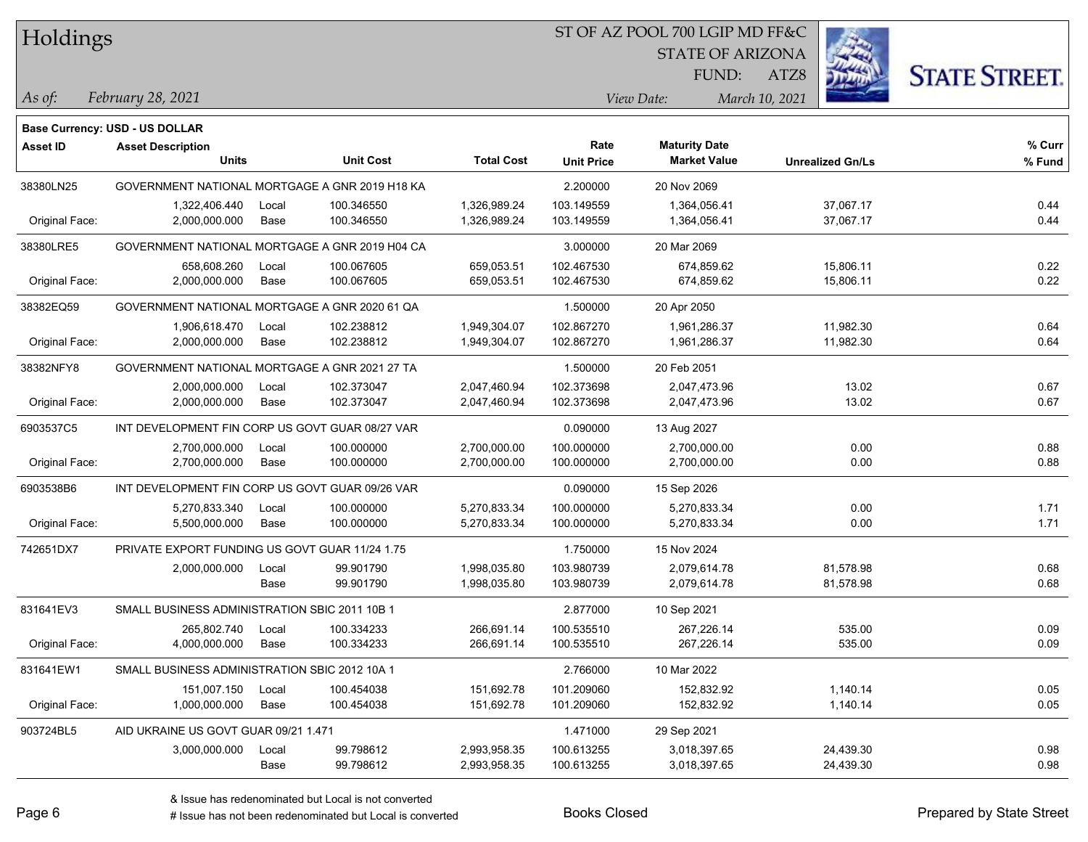## ST OF AZ POOL 700 LGIP MD FF&C

STATE OF ARIZONA

ATZ8



*February 28, 2021 As of: View Date: March 10, 2021*

FUND:

|                 | <b>Base Currency: USD - US DOLLAR</b>           |       |                  |                   |                   |                      |                         |        |
|-----------------|-------------------------------------------------|-------|------------------|-------------------|-------------------|----------------------|-------------------------|--------|
| <b>Asset ID</b> | <b>Asset Description</b>                        |       |                  |                   | Rate              | <b>Maturity Date</b> |                         | % Curr |
|                 | <b>Units</b>                                    |       | <b>Unit Cost</b> | <b>Total Cost</b> | <b>Unit Price</b> | <b>Market Value</b>  | <b>Unrealized Gn/Ls</b> | % Fund |
| 38380LN25       | GOVERNMENT NATIONAL MORTGAGE A GNR 2019 H18 KA  |       |                  |                   | 2.200000          | 20 Nov 2069          |                         |        |
|                 | 1,322,406.440                                   | Local | 100.346550       | 1,326,989.24      | 103.149559        | 1,364,056.41         | 37,067.17               | 0.44   |
| Original Face:  | 2,000,000.000                                   | Base  | 100.346550       | 1,326,989.24      | 103.149559        | 1,364,056.41         | 37,067.17               | 0.44   |
| 38380LRE5       | GOVERNMENT NATIONAL MORTGAGE A GNR 2019 H04 CA  |       |                  |                   | 3.000000          | 20 Mar 2069          |                         |        |
|                 | 658,608.260                                     | Local | 100.067605       | 659.053.51        | 102.467530        | 674.859.62           | 15,806.11               | 0.22   |
| Original Face:  | 2,000,000.000                                   | Base  | 100.067605       | 659,053.51        | 102.467530        | 674,859.62           | 15,806.11               | 0.22   |
| 38382EQ59       | GOVERNMENT NATIONAL MORTGAGE A GNR 2020 61 QA   |       |                  |                   | 1.500000          | 20 Apr 2050          |                         |        |
|                 | 1,906,618.470                                   | Local | 102.238812       | 1,949,304.07      | 102.867270        | 1,961,286.37         | 11,982.30               | 0.64   |
| Original Face:  | 2,000,000.000                                   | Base  | 102.238812       | 1,949,304.07      | 102.867270        | 1,961,286.37         | 11,982.30               | 0.64   |
| 38382NFY8       | GOVERNMENT NATIONAL MORTGAGE A GNR 2021 27 TA   |       |                  |                   | 1.500000          | 20 Feb 2051          |                         |        |
|                 | 2,000,000.000                                   | Local | 102.373047       | 2,047,460.94      | 102.373698        | 2,047,473.96         | 13.02                   | 0.67   |
| Original Face:  | 2,000,000.000                                   | Base  | 102.373047       | 2,047,460.94      | 102.373698        | 2,047,473.96         | 13.02                   | 0.67   |
| 6903537C5       | INT DEVELOPMENT FIN CORP US GOVT GUAR 08/27 VAR |       |                  |                   | 0.090000          | 13 Aug 2027          |                         |        |
|                 | 2,700,000.000                                   | Local | 100.000000       | 2,700,000.00      | 100.000000        | 2,700,000.00         | 0.00                    | 0.88   |
| Original Face:  | 2,700,000.000                                   | Base  | 100.000000       | 2,700,000.00      | 100.000000        | 2,700,000.00         | 0.00                    | 0.88   |
| 6903538B6       | INT DEVELOPMENT FIN CORP US GOVT GUAR 09/26 VAR |       |                  |                   | 0.090000          | 15 Sep 2026          |                         |        |
|                 | 5,270,833.340                                   | Local | 100.000000       | 5,270,833.34      | 100.000000        | 5,270,833.34         | 0.00                    | 1.71   |
| Original Face:  | 5,500,000.000                                   | Base  | 100.000000       | 5,270,833.34      | 100.000000        | 5,270,833.34         | 0.00                    | 1.71   |
| 742651DX7       | PRIVATE EXPORT FUNDING US GOVT GUAR 11/24 1.75  |       |                  |                   | 1.750000          | 15 Nov 2024          |                         |        |
|                 | 2,000,000.000                                   | Local | 99.901790        | 1,998,035.80      | 103.980739        | 2,079,614.78         | 81,578.98               | 0.68   |
|                 |                                                 | Base  | 99.901790        | 1,998,035.80      | 103.980739        | 2,079,614.78         | 81,578.98               | 0.68   |
| 831641EV3       | SMALL BUSINESS ADMINISTRATION SBIC 2011 10B 1   |       |                  |                   | 2.877000          | 10 Sep 2021          |                         |        |
|                 | 265,802.740                                     | Local | 100.334233       | 266,691.14        | 100.535510        | 267,226.14           | 535.00                  | 0.09   |
| Original Face:  | 4,000,000.000                                   | Base  | 100.334233       | 266,691.14        | 100.535510        | 267,226.14           | 535.00                  | 0.09   |
| 831641EW1       | SMALL BUSINESS ADMINISTRATION SBIC 2012 10A 1   |       |                  |                   | 2.766000          | 10 Mar 2022          |                         |        |
|                 | 151,007.150                                     | Local | 100.454038       | 151,692.78        | 101.209060        | 152,832.92           | 1,140.14                | 0.05   |
| Original Face:  | 1,000,000.000                                   | Base  | 100.454038       | 151,692.78        | 101.209060        | 152,832.92           | 1,140.14                | 0.05   |
| 903724BL5       | AID UKRAINE US GOVT GUAR 09/21 1.471            |       |                  |                   | 1.471000          | 29 Sep 2021          |                         |        |
|                 | 3,000,000.000                                   | Local | 99.798612        | 2,993,958.35      | 100.613255        | 3,018,397.65         | 24,439.30               | 0.98   |
|                 |                                                 | Base  | 99.798612        | 2,993,958.35      | 100.613255        | 3,018,397.65         | 24,439.30               | 0.98   |

& Issue has redenominated but Local is not converted

# Issue has not been redenominated but Local is converted Books Closed Prepared by State Street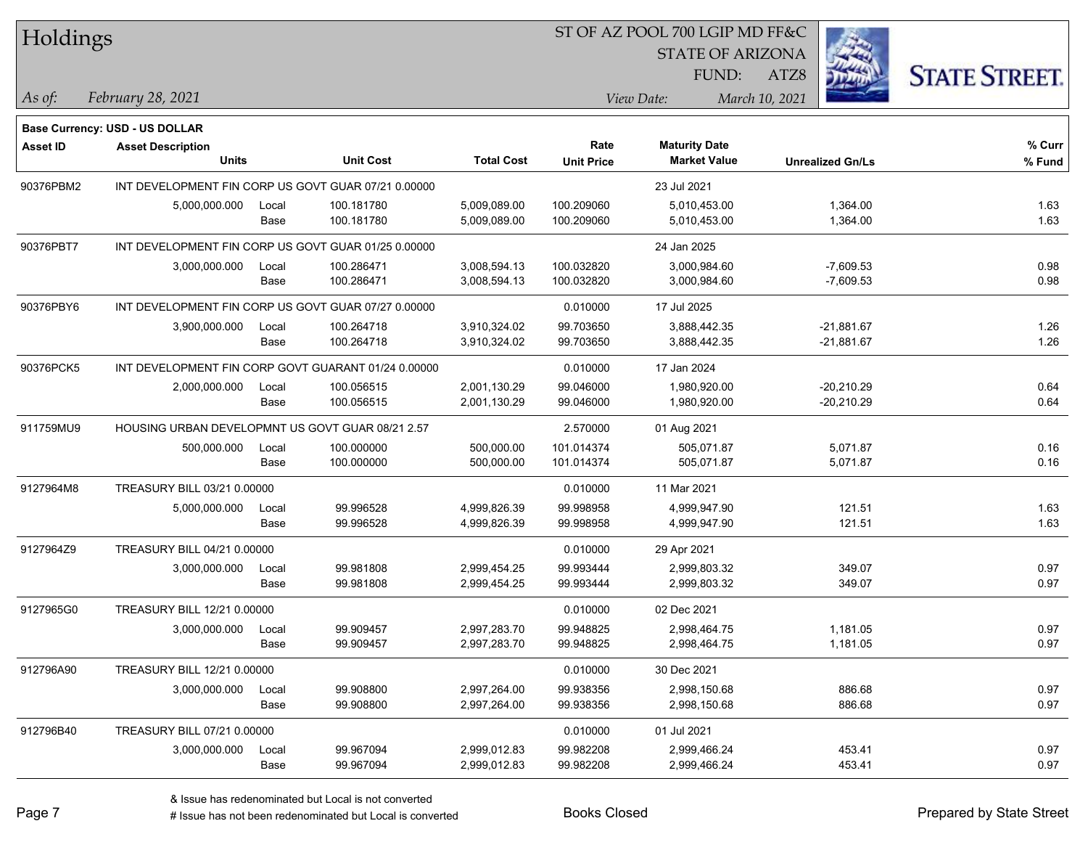## ST OF AZ POOL 700 LGIP MD FF&C

STATE OF ARIZONA

ATZ8



*February 28, 2021 As of: View Date: March 10, 2021*

FUND:

|                 | Base Currency: USD - US DOLLAR                      |       |                  |                   |                   |                      |                         |        |
|-----------------|-----------------------------------------------------|-------|------------------|-------------------|-------------------|----------------------|-------------------------|--------|
| <b>Asset ID</b> | <b>Asset Description</b>                            |       |                  |                   | Rate              | <b>Maturity Date</b> |                         | % Curr |
|                 | <b>Units</b>                                        |       | <b>Unit Cost</b> | <b>Total Cost</b> | <b>Unit Price</b> | <b>Market Value</b>  | <b>Unrealized Gn/Ls</b> | % Fund |
| 90376PBM2       | INT DEVELOPMENT FIN CORP US GOVT GUAR 07/21 0.00000 |       |                  |                   | 23 Jul 2021       |                      |                         |        |
|                 | 5,000,000.000                                       | Local | 100.181780       | 5,009,089.00      | 100.209060        | 5,010,453.00         | 1,364.00                | 1.63   |
|                 |                                                     | Base  | 100.181780       | 5,009,089.00      | 100.209060        | 5,010,453.00         | 1,364.00                | 1.63   |
| 90376PBT7       | INT DEVELOPMENT FIN CORP US GOVT GUAR 01/25 0.00000 |       |                  |                   | 24 Jan 2025       |                      |                         |        |
|                 | 3,000,000.000                                       | Local | 100.286471       | 3,008,594.13      | 100.032820        | 3,000,984.60         | $-7,609.53$             | 0.98   |
|                 |                                                     | Base  | 100.286471       | 3,008,594.13      | 100.032820        | 3,000,984.60         | $-7,609.53$             | 0.98   |
| 90376PBY6       | INT DEVELOPMENT FIN CORP US GOVT GUAR 07/27 0.00000 |       |                  |                   | 0.010000          | 17 Jul 2025          |                         |        |
|                 | 3,900,000.000                                       | Local | 100.264718       | 3,910,324.02      | 99.703650         | 3,888,442.35         | -21,881.67              | 1.26   |
|                 |                                                     | Base  | 100.264718       | 3,910,324.02      | 99.703650         | 3,888,442.35         | $-21,881.67$            | 1.26   |
| 90376PCK5       | INT DEVELOPMENT FIN CORP GOVT GUARANT 01/24 0.00000 |       |                  |                   | 0.010000          | 17 Jan 2024          |                         |        |
|                 | 2,000,000.000                                       | Local | 100.056515       | 2,001,130.29      | 99.046000         | 1,980,920.00         | $-20,210.29$            | 0.64   |
|                 |                                                     | Base  | 100.056515       | 2,001,130.29      | 99.046000         | 1,980,920.00         | $-20,210.29$            | 0.64   |
| 911759MU9       | HOUSING URBAN DEVELOPMNT US GOVT GUAR 08/21 2.57    |       |                  |                   | 2.570000          | 01 Aug 2021          |                         |        |
|                 | 500,000.000                                         | Local | 100.000000       | 500,000.00        | 101.014374        | 505,071.87           | 5,071.87                | 0.16   |
|                 |                                                     | Base  | 100.000000       | 500,000.00        | 101.014374        | 505,071.87           | 5,071.87                | 0.16   |
| 9127964M8       | TREASURY BILL 03/21 0.00000                         |       |                  |                   | 0.010000          | 11 Mar 2021          |                         |        |
|                 | 5,000,000.000                                       | Local | 99.996528        | 4,999,826.39      | 99.998958         | 4,999,947.90         | 121.51                  | 1.63   |
|                 |                                                     | Base  | 99.996528        | 4,999,826.39      | 99.998958         | 4,999,947.90         | 121.51                  | 1.63   |
| 9127964Z9       | TREASURY BILL 04/21 0.00000                         |       |                  |                   | 0.010000          | 29 Apr 2021          |                         |        |
|                 | 3,000,000.000                                       | Local | 99.981808        | 2,999,454.25      | 99.993444         | 2,999,803.32         | 349.07                  | 0.97   |
|                 |                                                     | Base  | 99.981808        | 2,999,454.25      | 99.993444         | 2,999,803.32         | 349.07                  | 0.97   |
| 9127965G0       | TREASURY BILL 12/21 0.00000                         |       |                  |                   | 0.010000          | 02 Dec 2021          |                         |        |
|                 | 3,000,000.000                                       | Local | 99.909457        | 2,997,283.70      | 99.948825         | 2,998,464.75         | 1,181.05                | 0.97   |
|                 |                                                     | Base  | 99.909457        | 2,997,283.70      | 99.948825         | 2,998,464.75         | 1,181.05                | 0.97   |
| 912796A90       | TREASURY BILL 12/21 0.00000                         |       |                  |                   | 0.010000          | 30 Dec 2021          |                         |        |
|                 | 3,000,000.000                                       | Local | 99.908800        | 2,997,264.00      | 99.938356         | 2,998,150.68         | 886.68                  | 0.97   |
|                 |                                                     | Base  | 99.908800        | 2,997,264.00      | 99.938356         | 2,998,150.68         | 886.68                  | 0.97   |
| 912796B40       | TREASURY BILL 07/21 0.00000                         |       |                  |                   | 0.010000          | 01 Jul 2021          |                         |        |
|                 | 3,000,000.000                                       | Local | 99.967094        | 2,999,012.83      | 99.982208         | 2,999,466.24         | 453.41                  | 0.97   |
|                 |                                                     | Base  | 99.967094        | 2,999,012.83      | 99.982208         | 2,999,466.24         | 453.41                  | 0.97   |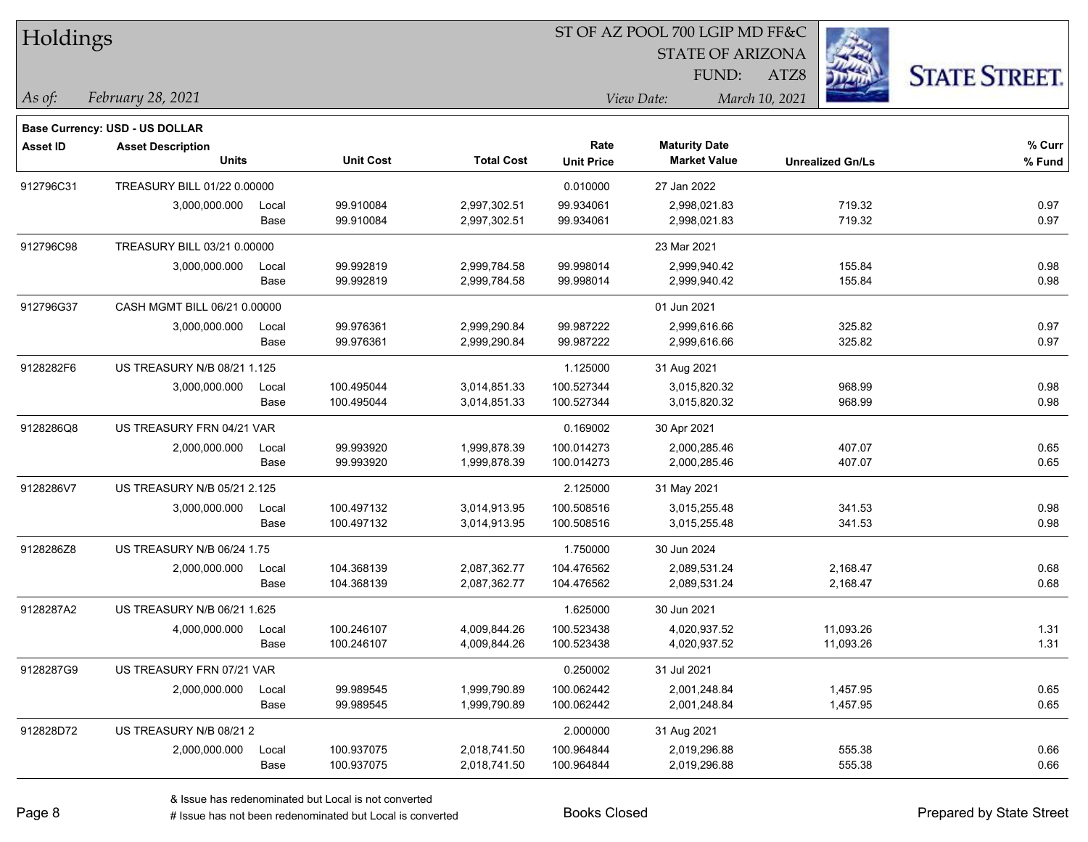| Holdings        |                                       |       |                  |                   |                   | 51 OF AZ POOL 700 LGIP MD FF&C |                |                         |                      |
|-----------------|---------------------------------------|-------|------------------|-------------------|-------------------|--------------------------------|----------------|-------------------------|----------------------|
|                 |                                       |       |                  |                   |                   | <b>STATE OF ARIZONA</b>        |                | Ź.                      |                      |
|                 |                                       |       |                  |                   |                   | FUND:                          | ATZ8           |                         | <b>STATE STREET.</b> |
| As of:          | February 28, 2021                     |       |                  |                   |                   | View Date:                     | March 10, 2021 |                         |                      |
|                 | <b>Base Currency: USD - US DOLLAR</b> |       |                  |                   |                   |                                |                |                         |                      |
| <b>Asset ID</b> | <b>Asset Description</b>              |       |                  |                   | Rate              | <b>Maturity Date</b>           |                |                         | % Curr               |
|                 | <b>Units</b>                          |       | <b>Unit Cost</b> | <b>Total Cost</b> | <b>Unit Price</b> | <b>Market Value</b>            |                | <b>Unrealized Gn/Ls</b> | % Fund               |
| 912796C31       | TREASURY BILL 01/22 0.00000           |       |                  |                   | 0.010000          | 27 Jan 2022                    |                |                         |                      |
|                 | 3,000,000.000                         | Local | 99.910084        | 2,997,302.51      | 99.934061         | 2,998,021.83                   |                | 719.32                  | 0.97                 |
|                 |                                       | Base  | 99.910084        | 2,997,302.51      | 99.934061         | 2,998,021.83                   |                | 719.32                  | 0.97                 |
| 912796C98       | TREASURY BILL 03/21 0.00000           |       |                  |                   |                   | 23 Mar 2021                    |                |                         |                      |
|                 | 3,000,000.000                         | Local | 99.992819        | 2,999,784.58      | 99.998014         | 2,999,940.42                   |                | 155.84                  | 0.98                 |
|                 |                                       | Base  | 99.992819        | 2,999,784.58      | 99.998014         | 2,999,940.42                   |                | 155.84                  | 0.98                 |
| 912796G37       | CASH MGMT BILL 06/21 0.00000          |       |                  |                   |                   | 01 Jun 2021                    |                |                         |                      |
|                 | 3,000,000.000                         | Local | 99.976361        | 2,999,290.84      | 99.987222         | 2,999,616.66                   |                | 325.82                  | 0.97                 |
|                 |                                       | Base  | 99.976361        | 2,999,290.84      | 99.987222         | 2,999,616.66                   |                | 325.82                  | 0.97                 |
| 9128282F6       | US TREASURY N/B 08/21 1.125           |       |                  |                   | 1.125000          | 31 Aug 2021                    |                |                         |                      |
|                 | 3,000,000.000                         | Local | 100.495044       | 3,014,851.33      | 100.527344        | 3,015,820.32                   |                | 968.99                  | 0.98                 |
|                 |                                       | Base  | 100.495044       | 3,014,851.33      | 100.527344        | 3,015,820.32                   |                | 968.99                  | 0.98                 |
| 9128286Q8       | US TREASURY FRN 04/21 VAR             |       |                  |                   | 0.169002          | 30 Apr 2021                    |                |                         |                      |
|                 | 2,000,000.000                         | Local | 99.993920        | 1,999,878.39      | 100.014273        | 2,000,285.46                   |                | 407.07                  | 0.65                 |
|                 |                                       | Base  | 99.993920        | 1,999,878.39      | 100.014273        | 2,000,285.46                   |                | 407.07                  | 0.65                 |
| 9128286V7       | US TREASURY N/B 05/21 2.125           |       |                  |                   | 2.125000          | 31 May 2021                    |                |                         |                      |
|                 | 3,000,000.000                         | Local | 100.497132       | 3,014,913.95      | 100.508516        | 3,015,255.48                   |                | 341.53                  | 0.98                 |
|                 |                                       | Base  | 100.497132       | 3,014,913.95      | 100.508516        | 3,015,255.48                   |                | 341.53                  | 0.98                 |
| 9128286Z8       | US TREASURY N/B 06/24 1.75            |       |                  |                   | 1.750000          | 30 Jun 2024                    |                |                         |                      |
|                 | 2,000,000.000                         | Local | 104.368139       | 2,087,362.77      | 104.476562        | 2,089,531.24                   |                | 2,168.47                | 0.68                 |
|                 |                                       | Base  | 104.368139       | 2,087,362.77      | 104.476562        | 2,089,531.24                   |                | 2,168.47                | 0.68                 |
| 9128287A2       | US TREASURY N/B 06/21 1.625           |       |                  |                   | 1.625000          | 30 Jun 2021                    |                |                         |                      |
|                 | 4,000,000.000                         | Local | 100.246107       | 4,009,844.26      | 100.523438        | 4,020,937.52                   |                | 11,093.26               | 1.31                 |
|                 |                                       | Base  | 100.246107       | 4,009,844.26      | 100.523438        | 4,020,937.52                   |                | 11.093.26               | 1.31                 |
| 9128287G9       | US TREASURY FRN 07/21 VAR             |       |                  |                   | 0.250002          | 31 Jul 2021                    |                |                         |                      |
|                 | 2,000,000.000                         | Local | 99.989545        | 1,999,790.89      | 100.062442        | 2,001,248.84                   |                | 1,457.95                | 0.65                 |
|                 |                                       | Base  | 99.989545        | 1,999,790.89      | 100.062442        | 2,001,248.84                   |                | 1,457.95                | 0.65                 |
| 912828D72       | US TREASURY N/B 08/212                |       |                  |                   | 2.000000          | 31 Aug 2021                    |                |                         |                      |
|                 | 2,000,000.000                         | Local | 100.937075       | 2,018,741.50      | 100.964844        | 2,019,296.88                   |                | 555.38                  | 0.66                 |
|                 |                                       | Base  | 100.937075       | 2,018,741.50      | 100.964844        | 2,019,296.88                   |                | 555.38                  | 0.66                 |

 $\overline{S}$   $\overline{S}$   $\overline{S}$   $\overline{S}$   $\overline{S}$   $\overline{S}$   $\overline{S}$   $\overline{S}$   $\overline{S}$   $\overline{S}$   $\overline{S}$   $\overline{S}$   $\overline{S}$   $\overline{S}$   $\overline{S}$   $\overline{S}$   $\overline{S}$   $\overline{S}$   $\overline{S}$   $\overline{S}$   $\overline{S}$   $\overline{S}$   $\overline{S}$   $\overline{S}$   $\overline{$ 

٦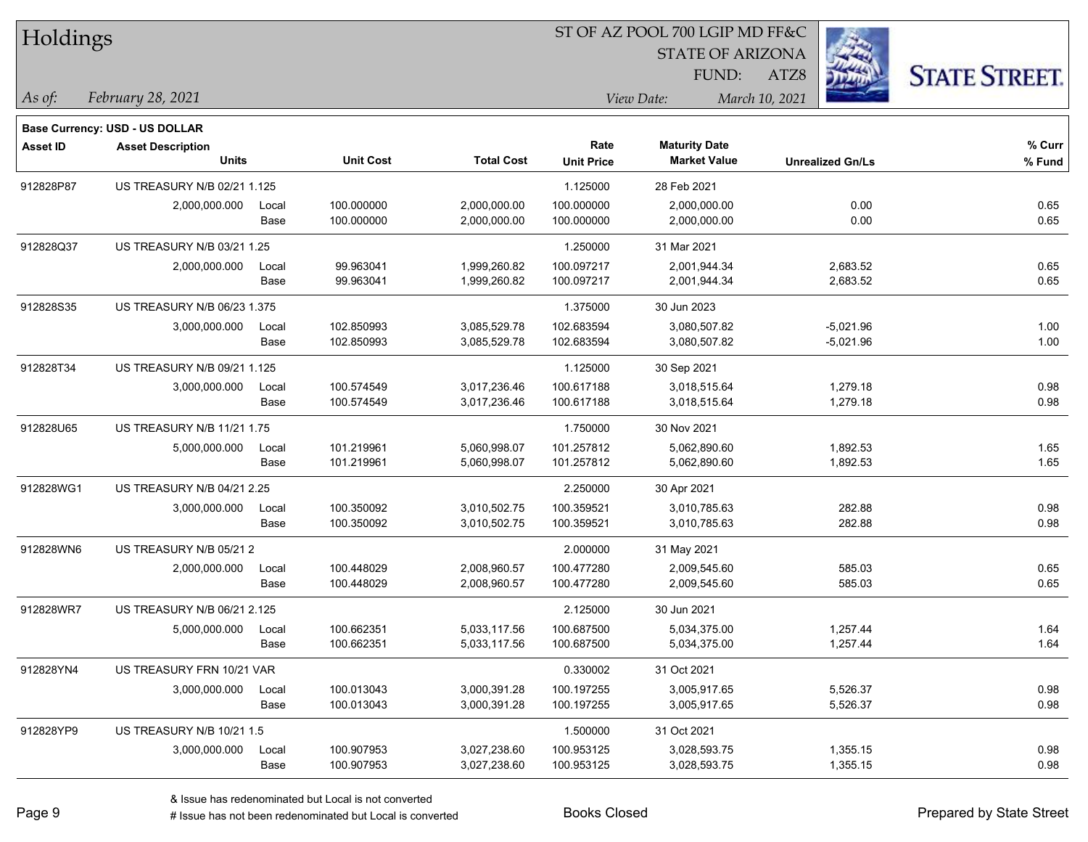| Holdings        |                                |       |                  |                   | ST OF AZ POOL 700 LGIP MD FF&C |                         |                         |                      |  |  |  |
|-----------------|--------------------------------|-------|------------------|-------------------|--------------------------------|-------------------------|-------------------------|----------------------|--|--|--|
|                 |                                |       |                  |                   |                                | <b>STATE OF ARIZONA</b> |                         |                      |  |  |  |
|                 |                                |       |                  |                   |                                | FUND:                   | ATZ8                    | <b>STATE STREET.</b> |  |  |  |
| As of:          | February 28, 2021              |       |                  |                   |                                | View Date:              | March 10, 2021          |                      |  |  |  |
|                 | Base Currency: USD - US DOLLAR |       |                  |                   |                                |                         |                         |                      |  |  |  |
| <b>Asset ID</b> | <b>Asset Description</b>       |       |                  |                   | Rate                           | <b>Maturity Date</b>    |                         | % Curr               |  |  |  |
|                 | <b>Units</b>                   |       | <b>Unit Cost</b> | <b>Total Cost</b> | <b>Unit Price</b>              | <b>Market Value</b>     | <b>Unrealized Gn/Ls</b> | % Fund               |  |  |  |
| 912828P87       | US TREASURY N/B 02/21 1.125    |       |                  |                   | 1.125000                       | 28 Feb 2021             |                         |                      |  |  |  |
|                 | 2,000,000.000                  | Local | 100.000000       | 2,000,000.00      | 100.000000                     | 2,000,000.00            | 0.00                    | 0.65                 |  |  |  |
|                 |                                | Base  | 100.000000       | 2,000,000.00      | 100.000000                     | 2,000,000.00            | 0.00                    | 0.65                 |  |  |  |
| 912828Q37       | US TREASURY N/B 03/21 1.25     |       |                  |                   | 1.250000                       | 31 Mar 2021             |                         |                      |  |  |  |
|                 | 2,000,000.000                  | Local | 99.963041        | 1,999,260.82      | 100.097217                     | 2,001,944.34            | 2,683.52                | 0.65                 |  |  |  |
|                 |                                | Base  | 99.963041        | 1,999,260.82      | 100.097217                     | 2,001,944.34            | 2,683.52                | 0.65                 |  |  |  |
| 912828S35       | US TREASURY N/B 06/23 1.375    |       |                  |                   | 1.375000                       | 30 Jun 2023             |                         |                      |  |  |  |
|                 | 3,000,000.000                  | Local | 102.850993       | 3,085,529.78      | 102.683594                     | 3,080,507.82            | $-5,021.96$             | 1.00                 |  |  |  |
|                 |                                | Base  | 102.850993       | 3,085,529.78      | 102.683594                     | 3,080,507.82            | $-5,021.96$             | 1.00                 |  |  |  |
| 912828T34       | US TREASURY N/B 09/21 1.125    |       |                  |                   | 1.125000                       | 30 Sep 2021             |                         |                      |  |  |  |
|                 | 3,000,000.000                  | Local | 100.574549       | 3,017,236.46      | 100.617188                     | 3,018,515.64            | 1,279.18                | 0.98                 |  |  |  |
|                 |                                | Base  | 100.574549       | 3,017,236.46      | 100.617188                     | 3,018,515.64            | 1,279.18                | 0.98                 |  |  |  |
| 912828U65       | US TREASURY N/B 11/21 1.75     |       |                  |                   | 1.750000                       | 30 Nov 2021             |                         |                      |  |  |  |
|                 | 5,000,000.000                  | Local | 101.219961       | 5,060,998.07      | 101.257812                     | 5,062,890.60            | 1,892.53                | 1.65                 |  |  |  |
|                 |                                | Base  | 101.219961       | 5,060,998.07      | 101.257812                     | 5,062,890.60            | 1,892.53                | 1.65                 |  |  |  |
| 912828WG1       | US TREASURY N/B 04/21 2.25     |       |                  |                   | 2.250000                       | 30 Apr 2021             |                         |                      |  |  |  |
|                 | 3,000,000.000                  | Local | 100.350092       | 3,010,502.75      | 100.359521                     | 3,010,785.63            | 282.88                  | 0.98                 |  |  |  |
|                 |                                | Base  | 100.350092       | 3,010,502.75      | 100.359521                     | 3,010,785.63            | 282.88                  | 0.98                 |  |  |  |
| 912828WN6       | US TREASURY N/B 05/21 2        |       |                  |                   | 2.000000                       | 31 May 2021             |                         |                      |  |  |  |
|                 | 2,000,000.000                  | Local | 100.448029       | 2,008,960.57      | 100.477280                     | 2,009,545.60            | 585.03                  | 0.65                 |  |  |  |
|                 |                                | Base  | 100.448029       | 2,008,960.57      | 100.477280                     | 2,009,545.60            | 585.03                  | 0.65                 |  |  |  |
| 912828WR7       | US TREASURY N/B 06/21 2.125    |       |                  |                   | 2.125000                       | 30 Jun 2021             |                         |                      |  |  |  |
|                 | 5,000,000.000                  | Local | 100.662351       | 5,033,117.56      | 100.687500                     | 5,034,375.00            | 1,257.44                | 1.64                 |  |  |  |
|                 |                                | Base  | 100.662351       | 5,033,117.56      | 100.687500                     | 5,034,375.00            | 1,257.44                | 1.64                 |  |  |  |
| 912828YN4       | US TREASURY FRN 10/21 VAR      |       |                  |                   | 0.330002                       | 31 Oct 2021             |                         |                      |  |  |  |
|                 | 3,000,000.000                  | Local | 100.013043       | 3,000,391.28      | 100.197255                     | 3,005,917.65            | 5,526.37                | 0.98                 |  |  |  |
|                 |                                | Base  | 100.013043       | 3,000,391.28      | 100.197255                     | 3,005,917.65            | 5,526.37                | 0.98                 |  |  |  |
| 912828YP9       | US TREASURY N/B 10/21 1.5      |       |                  |                   | 1.500000                       | 31 Oct 2021             |                         |                      |  |  |  |
|                 | 3,000,000.000                  | Local | 100.907953       | 3,027,238.60      | 100.953125                     | 3,028,593.75            | 1,355.15                | 0.98                 |  |  |  |
|                 |                                | Base  | 100.907953       | 3,027,238.60      | 100.953125                     | 3,028,593.75            | 1,355.15                | 0.98                 |  |  |  |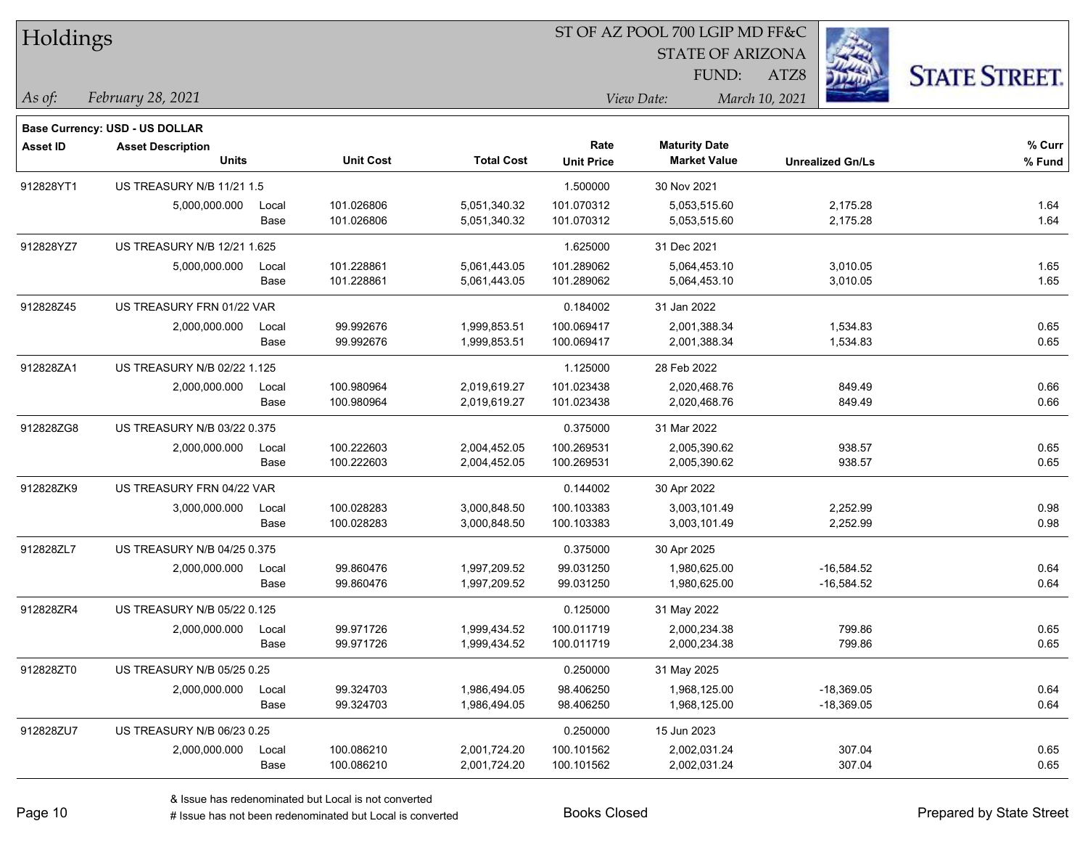| Holdings        |                                                            |       |                  |                   | ST OF AZ POOL 700 LGIP MD FF&C |                         |                         |                      |  |  |
|-----------------|------------------------------------------------------------|-------|------------------|-------------------|--------------------------------|-------------------------|-------------------------|----------------------|--|--|
|                 |                                                            |       |                  |                   |                                | <b>STATE OF ARIZONA</b> |                         |                      |  |  |
|                 |                                                            |       |                  |                   |                                | FUND:                   | ATZ8                    | <b>STATE STREET.</b> |  |  |
| As of:          | February 28, 2021                                          |       |                  |                   |                                | View Date:              | March 10, 2021          |                      |  |  |
|                 |                                                            |       |                  |                   |                                |                         |                         |                      |  |  |
| <b>Asset ID</b> | Base Currency: USD - US DOLLAR<br><b>Asset Description</b> |       |                  |                   | Rate                           | <b>Maturity Date</b>    |                         | % Curr               |  |  |
|                 | <b>Units</b>                                               |       | <b>Unit Cost</b> | <b>Total Cost</b> | <b>Unit Price</b>              | <b>Market Value</b>     | <b>Unrealized Gn/Ls</b> | % Fund               |  |  |
| 912828YT1       | US TREASURY N/B 11/21 1.5                                  |       |                  |                   | 1.500000                       | 30 Nov 2021             |                         |                      |  |  |
|                 | 5,000,000.000                                              | Local | 101.026806       | 5,051,340.32      | 101.070312                     | 5,053,515.60            | 2,175.28                | 1.64                 |  |  |
|                 |                                                            | Base  | 101.026806       | 5,051,340.32      | 101.070312                     | 5,053,515.60            | 2,175.28                | 1.64                 |  |  |
| 912828YZ7       | US TREASURY N/B 12/21 1.625                                |       |                  |                   | 1.625000                       | 31 Dec 2021             |                         |                      |  |  |
|                 | 5,000,000.000                                              | Local | 101.228861       | 5,061,443.05      | 101.289062                     | 5,064,453.10            | 3,010.05                | 1.65                 |  |  |
|                 |                                                            | Base  | 101.228861       | 5,061,443.05      | 101.289062                     | 5,064,453.10            | 3,010.05                | 1.65                 |  |  |
| 912828Z45       | US TREASURY FRN 01/22 VAR                                  |       |                  |                   | 0.184002                       | 31 Jan 2022             |                         |                      |  |  |
|                 | 2,000,000.000                                              | Local | 99.992676        | 1,999,853.51      | 100.069417                     | 2,001,388.34            | 1,534.83                | 0.65                 |  |  |
|                 |                                                            | Base  | 99.992676        | 1,999,853.51      | 100.069417                     | 2,001,388.34            | 1,534.83                | 0.65                 |  |  |
| 912828ZA1       | US TREASURY N/B 02/22 1.125                                |       |                  |                   | 1.125000                       | 28 Feb 2022             |                         |                      |  |  |
|                 | 2,000,000.000                                              | Local | 100.980964       | 2,019,619.27      | 101.023438                     | 2,020,468.76            | 849.49                  | 0.66                 |  |  |
|                 |                                                            | Base  | 100.980964       | 2,019,619.27      | 101.023438                     | 2,020,468.76            | 849.49                  | 0.66                 |  |  |
| 912828ZG8       | US TREASURY N/B 03/22 0.375                                |       |                  |                   | 0.375000                       | 31 Mar 2022             |                         |                      |  |  |
|                 | 2,000,000.000                                              | Local | 100.222603       | 2,004,452.05      | 100.269531                     | 2,005,390.62            | 938.57                  | 0.65                 |  |  |
|                 |                                                            | Base  | 100.222603       | 2,004,452.05      | 100.269531                     | 2,005,390.62            | 938.57                  | 0.65                 |  |  |
| 912828ZK9       | US TREASURY FRN 04/22 VAR                                  |       |                  |                   | 0.144002                       | 30 Apr 2022             |                         |                      |  |  |
|                 | 3,000,000.000                                              | Local | 100.028283       | 3,000,848.50      | 100.103383                     | 3,003,101.49            | 2,252.99                | 0.98                 |  |  |
|                 |                                                            | Base  | 100.028283       | 3,000,848.50      | 100.103383                     | 3,003,101.49            | 2,252.99                | 0.98                 |  |  |
| 912828ZL7       | US TREASURY N/B 04/25 0.375                                |       |                  |                   | 0.375000                       | 30 Apr 2025             |                         |                      |  |  |
|                 | 2,000,000.000                                              | Local | 99.860476        | 1,997,209.52      | 99.031250                      | 1,980,625.00            | $-16,584.52$            | 0.64                 |  |  |
|                 |                                                            | Base  | 99.860476        | 1,997,209.52      | 99.031250                      | 1,980,625.00            | $-16,584.52$            | 0.64                 |  |  |
| 912828ZR4       | US TREASURY N/B 05/22 0.125                                |       |                  |                   | 0.125000                       | 31 May 2022             |                         |                      |  |  |
|                 | 2,000,000.000                                              | Local | 99.971726        | 1,999,434.52      | 100.011719                     | 2,000,234.38            | 799.86                  | 0.65                 |  |  |
|                 |                                                            | Base  | 99.971726        | 1,999,434.52      | 100.011719                     | 2,000,234.38            | 799.86                  | 0.65                 |  |  |
| 912828ZT0       | US TREASURY N/B 05/25 0.25                                 |       |                  |                   | 0.250000                       | 31 May 2025             |                         |                      |  |  |
|                 | 2,000,000.000                                              | Local | 99.324703        | 1,986,494.05      | 98.406250                      | 1,968,125.00            | $-18,369.05$            | 0.64                 |  |  |
|                 |                                                            | Base  | 99.324703        | 1,986,494.05      | 98.406250                      | 1,968,125.00            | $-18,369.05$            | 0.64                 |  |  |
| 912828ZU7       | US TREASURY N/B 06/23 0.25                                 |       |                  |                   | 0.250000                       | 15 Jun 2023             |                         |                      |  |  |
|                 | 2,000,000.000                                              | Local | 100.086210       | 2,001,724.20      | 100.101562                     | 2,002,031.24            | 307.04                  | 0.65                 |  |  |
|                 |                                                            | Base  | 100.086210       | 2,001,724.20      | 100.101562                     | 2,002,031.24            | 307.04                  | 0.65                 |  |  |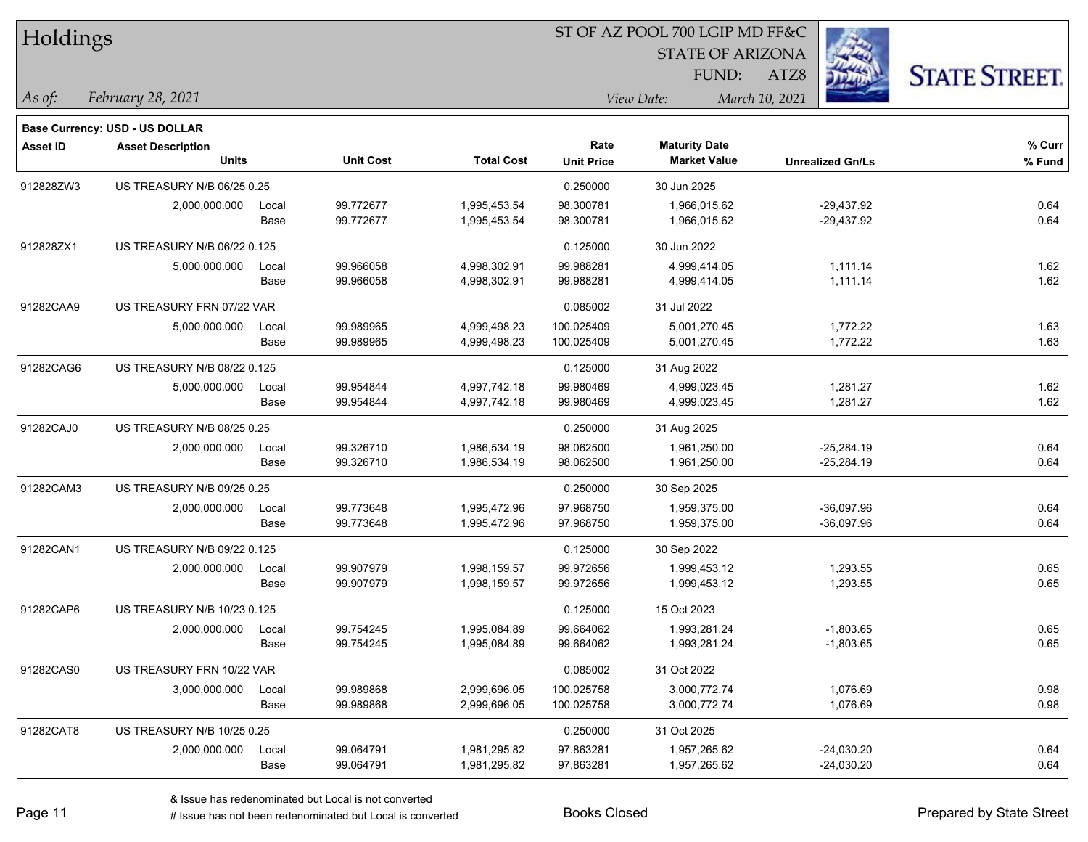| Holdings        |                                       |       |                  |                   | 51 OF AZ POOL 700 LGIP MD FF&C |                         |                         |                      |
|-----------------|---------------------------------------|-------|------------------|-------------------|--------------------------------|-------------------------|-------------------------|----------------------|
|                 |                                       |       |                  |                   |                                | <b>STATE OF ARIZONA</b> | <b>FEB</b>              |                      |
|                 |                                       |       |                  |                   |                                | FUND:                   | ATZ8                    | <b>STATE STREET.</b> |
| $ $ As of:      | February 28, 2021                     |       |                  |                   |                                | View Date:              | March 10, 2021          |                      |
|                 |                                       |       |                  |                   |                                |                         |                         |                      |
|                 | <b>Base Currency: USD - US DOLLAR</b> |       |                  |                   |                                |                         |                         |                      |
| <b>Asset ID</b> | <b>Asset Description</b>              |       |                  |                   | Rate                           | <b>Maturity Date</b>    |                         | % Curr               |
|                 | Units                                 |       | <b>Unit Cost</b> | <b>Total Cost</b> | <b>Unit Price</b>              | <b>Market Value</b>     | <b>Unrealized Gn/Ls</b> | % Fund               |
| 912828ZW3       | US TREASURY N/B 06/25 0.25            |       |                  |                   | 0.250000                       | 30 Jun 2025             |                         |                      |
|                 | 2,000,000.000                         | Local | 99.772677        | 1,995,453.54      | 98.300781                      | 1,966,015.62            | $-29,437.92$            | 0.64                 |
|                 |                                       | Base  | 99.772677        | 1,995,453.54      | 98.300781                      | 1,966,015.62            | $-29,437.92$            | 0.64                 |
| 912828ZX1       | US TREASURY N/B 06/22 0.125           |       |                  |                   | 0.125000                       | 30 Jun 2022             |                         |                      |
|                 | 5,000,000.000                         | Local | 99.966058        | 4,998,302.91      | 99.988281                      | 4,999,414.05            | 1,111.14                | 1.62                 |
|                 |                                       | Base  | 99.966058        | 4,998,302.91      | 99.988281                      | 4,999,414.05            | 1,111.14                | 1.62                 |
| 91282CAA9       | US TREASURY FRN 07/22 VAR             |       |                  |                   | 0.085002                       | 31 Jul 2022             |                         |                      |
|                 | 5,000,000.000                         | Local | 99.989965        | 4,999,498.23      | 100.025409                     | 5,001,270.45            | 1,772.22                | 1.63                 |
|                 |                                       | Base  | 99.989965        | 4,999,498.23      | 100.025409                     | 5,001,270.45            | 1,772.22                | 1.63                 |
| 91282CAG6       | US TREASURY N/B 08/22 0.125           |       |                  |                   | 0.125000                       | 31 Aug 2022             |                         |                      |
|                 | 5,000,000.000                         | Local | 99.954844        | 4,997,742.18      | 99.980469                      | 4,999,023.45            | 1,281.27                | 1.62                 |
|                 |                                       | Base  | 99.954844        | 4,997,742.18      | 99.980469                      | 4,999,023.45            | 1,281.27                | 1.62                 |
| 91282CAJ0       | US TREASURY N/B 08/25 0.25            |       |                  |                   | 0.250000                       | 31 Aug 2025             |                         |                      |
|                 | 2,000,000.000                         | Local | 99.326710        | 1,986,534.19      | 98.062500                      | 1,961,250.00            | $-25,284.19$            | 0.64                 |
|                 |                                       | Base  | 99.326710        | 1,986,534.19      | 98.062500                      | 1,961,250.00            | $-25,284.19$            | 0.64                 |
| 91282CAM3       | US TREASURY N/B 09/25 0.25            |       |                  |                   | 0.250000                       | 30 Sep 2025             |                         |                      |
|                 | 2,000,000.000                         | Local | 99.773648        | 1,995,472.96      | 97.968750                      | 1,959,375.00            | $-36,097.96$            | 0.64                 |
|                 |                                       | Base  | 99.773648        | 1,995,472.96      | 97.968750                      | 1,959,375.00            | $-36,097.96$            | 0.64                 |
| 91282CAN1       | US TREASURY N/B 09/22 0.125           |       |                  |                   | 0.125000                       | 30 Sep 2022             |                         |                      |
|                 | 2,000,000.000                         | Local | 99.907979        | 1,998,159.57      | 99.972656                      | 1,999,453.12            | 1,293.55                | 0.65                 |
|                 |                                       | Base  | 99.907979        | 1,998,159.57      | 99.972656                      | 1,999,453.12            | 1,293.55                | 0.65                 |
| 91282CAP6       | US TREASURY N/B 10/23 0.125           |       |                  |                   | 0.125000                       | 15 Oct 2023             |                         |                      |
|                 | 2,000,000.000                         | Local | 99.754245        | 1,995,084.89      | 99.664062                      | 1,993,281.24            | $-1,803.65$             | 0.65                 |
|                 |                                       | Base  | 99.754245        | 1,995,084.89      | 99.664062                      | 1,993,281.24            | $-1,803.65$             | 0.65                 |
| 91282CAS0       | US TREASURY FRN 10/22 VAR             |       |                  |                   | 0.085002                       | 31 Oct 2022             |                         |                      |
|                 | 3,000,000.000                         | Local | 99.989868        | 2,999,696.05      | 100.025758                     | 3,000,772.74            | 1,076.69                | 0.98                 |
|                 |                                       | Base  | 99.989868        | 2,999,696.05      | 100.025758                     | 3,000,772.74            | 1,076.69                | 0.98                 |
| 91282CAT8       | US TREASURY N/B 10/25 0.25            |       |                  |                   | 0.250000                       | 31 Oct 2025             |                         |                      |
|                 | 2,000,000.000                         | Local | 99.064791        | 1,981,295.82      | 97.863281                      | 1,957,265.62            | $-24,030.20$            | 0.64                 |
|                 |                                       | Base  | 99.064791        | 1,981,295.82      | 97.863281                      | 1,957,265.62            | $-24,030.20$            | 0.64                 |

 $ST$  OF A Z POOL 700 LCIP MD FF&C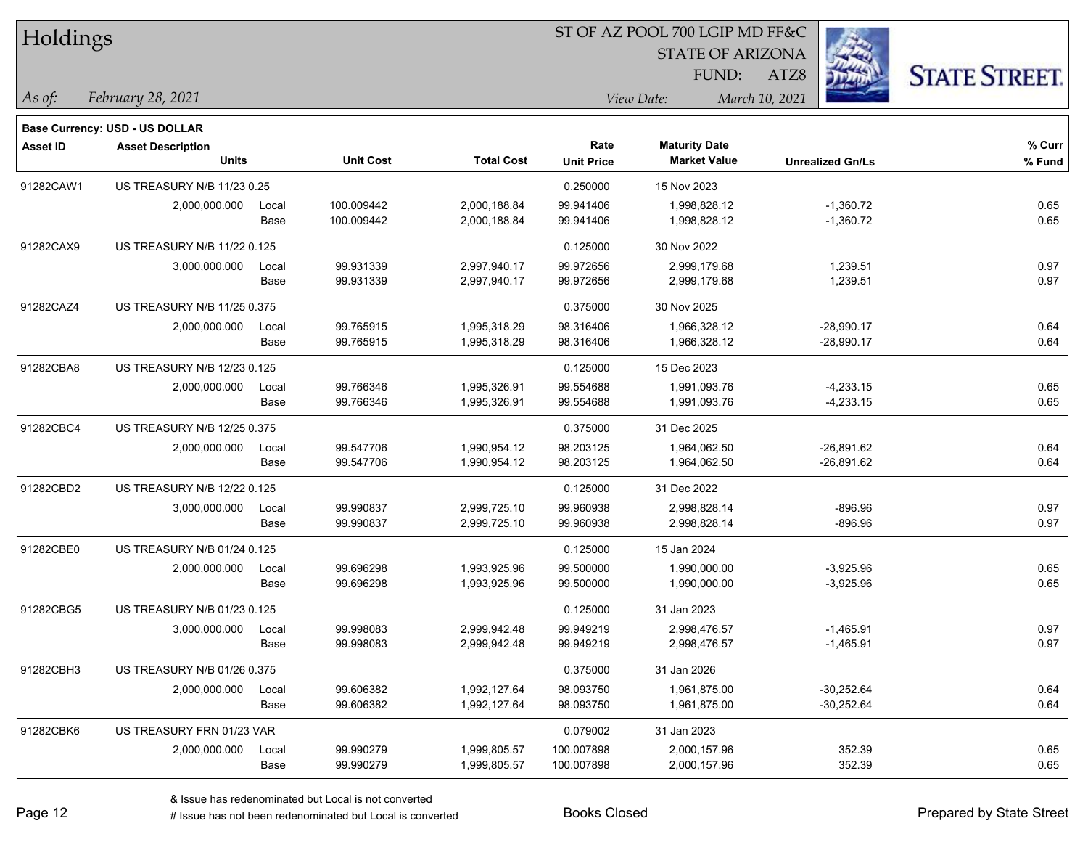| Holdings        |                                |       |                  |                   |                   | ST OF AZ POOL 700 LGIP MD FF&C |                         |                      |  |  |
|-----------------|--------------------------------|-------|------------------|-------------------|-------------------|--------------------------------|-------------------------|----------------------|--|--|
|                 |                                |       |                  |                   |                   | <b>STATE OF ARIZONA</b>        |                         |                      |  |  |
|                 |                                |       |                  |                   |                   | FUND:                          | ATZ8                    | <b>STATE STREET.</b> |  |  |
| As of:          | February 28, 2021              |       |                  |                   |                   | View Date:                     | March 10, 2021          |                      |  |  |
|                 | Base Currency: USD - US DOLLAR |       |                  |                   |                   |                                |                         |                      |  |  |
| <b>Asset ID</b> | <b>Asset Description</b>       |       |                  |                   | Rate              | <b>Maturity Date</b>           |                         | $%$ Curr             |  |  |
|                 | <b>Units</b>                   |       | <b>Unit Cost</b> | <b>Total Cost</b> | <b>Unit Price</b> | <b>Market Value</b>            | <b>Unrealized Gn/Ls</b> | % Fund               |  |  |
| 91282CAW1       | US TREASURY N/B 11/23 0.25     |       |                  |                   | 0.250000          | 15 Nov 2023                    |                         |                      |  |  |
|                 | 2,000,000.000                  | Local | 100.009442       | 2,000,188.84      | 99.941406         | 1,998,828.12                   | $-1,360.72$             | 0.65                 |  |  |
|                 |                                | Base  | 100.009442       | 2,000,188.84      | 99.941406         | 1,998,828.12                   | $-1,360.72$             | 0.65                 |  |  |
| 91282CAX9       | US TREASURY N/B 11/22 0.125    |       |                  |                   | 0.125000          | 30 Nov 2022                    |                         |                      |  |  |
|                 | 3,000,000.000                  | Local | 99.931339        | 2,997,940.17      | 99.972656         | 2,999,179.68                   | 1,239.51                | 0.97                 |  |  |
|                 |                                | Base  | 99.931339        | 2,997,940.17      | 99.972656         | 2,999,179.68                   | 1,239.51                | 0.97                 |  |  |
| 91282CAZ4       | US TREASURY N/B 11/25 0.375    |       |                  |                   | 0.375000          | 30 Nov 2025                    |                         |                      |  |  |
|                 | 2,000,000.000                  | Local | 99.765915        | 1,995,318.29      | 98.316406         | 1,966,328.12                   | $-28,990.17$            | 0.64                 |  |  |
|                 |                                | Base  | 99.765915        | 1,995,318.29      | 98.316406         | 1,966,328.12                   | $-28,990.17$            | 0.64                 |  |  |
| 91282CBA8       | US TREASURY N/B 12/23 0.125    |       |                  |                   | 0.125000          | 15 Dec 2023                    |                         |                      |  |  |
|                 | 2,000,000.000                  | Local | 99.766346        | 1,995,326.91      | 99.554688         | 1,991,093.76                   | $-4,233.15$             | 0.65                 |  |  |
|                 |                                | Base  | 99.766346        | 1,995,326.91      | 99.554688         | 1,991,093.76                   | $-4,233.15$             | 0.65                 |  |  |
| 91282CBC4       | US TREASURY N/B 12/25 0.375    |       |                  |                   | 0.375000          | 31 Dec 2025                    |                         |                      |  |  |
|                 | 2,000,000.000                  | Local | 99.547706        | 1,990,954.12      | 98.203125         | 1,964,062.50                   | $-26,891.62$            | 0.64                 |  |  |
|                 |                                | Base  | 99.547706        | 1,990,954.12      | 98.203125         | 1,964,062.50                   | $-26,891.62$            | 0.64                 |  |  |
| 91282CBD2       | US TREASURY N/B 12/22 0.125    |       |                  |                   | 0.125000          | 31 Dec 2022                    |                         |                      |  |  |
|                 | 3,000,000.000                  | Local | 99.990837        | 2,999,725.10      | 99.960938         | 2,998,828.14                   | $-896.96$               | 0.97                 |  |  |
|                 |                                | Base  | 99.990837        | 2,999,725.10      | 99.960938         | 2,998,828.14                   | $-896.96$               | 0.97                 |  |  |
| 91282CBE0       | US TREASURY N/B 01/24 0.125    |       |                  |                   | 0.125000          | 15 Jan 2024                    |                         |                      |  |  |
|                 | 2,000,000.000                  | Local | 99.696298        | 1,993,925.96      | 99.500000         | 1,990,000.00                   | $-3,925.96$             | 0.65                 |  |  |
|                 |                                | Base  | 99.696298        | 1,993,925.96      | 99.500000         | 1,990,000.00                   | $-3,925.96$             | 0.65                 |  |  |
| 91282CBG5       | US TREASURY N/B 01/23 0.125    |       |                  |                   | 0.125000          | 31 Jan 2023                    |                         |                      |  |  |
|                 | 3,000,000.000                  | Local | 99.998083        | 2,999,942.48      | 99.949219         | 2,998,476.57                   | $-1,465.91$             | 0.97                 |  |  |
|                 |                                | Base  | 99.998083        | 2,999,942.48      | 99.949219         | 2,998,476.57                   | $-1,465.91$             | 0.97                 |  |  |
| 91282CBH3       | US TREASURY N/B 01/26 0.375    |       |                  |                   | 0.375000          | 31 Jan 2026                    |                         |                      |  |  |
|                 | 2,000,000.000                  | Local | 99.606382        | 1,992,127.64      | 98.093750         | 1,961,875.00                   | $-30,252.64$            | 0.64                 |  |  |
|                 |                                | Base  | 99.606382        | 1,992,127.64      | 98.093750         | 1,961,875.00                   | $-30,252.64$            | 0.64                 |  |  |
| 91282CBK6       | US TREASURY FRN 01/23 VAR      |       |                  |                   | 0.079002          | 31 Jan 2023                    |                         |                      |  |  |
|                 | 2,000,000.000                  | Local | 99.990279        | 1,999,805.57      | 100.007898        | 2,000,157.96                   | 352.39                  | 0.65                 |  |  |
|                 |                                | Base  | 99.990279        | 1,999,805.57      | 100.007898        | 2,000,157.96                   | 352.39                  | 0.65                 |  |  |

 $\overline{\phantom{0}}$ 

 $\overline{\phantom{a}}$ 

 $\overline{\phantom{0}}$ 

 $\overline{\phantom{a}}$ 

 $\overline{\phantom{0}}$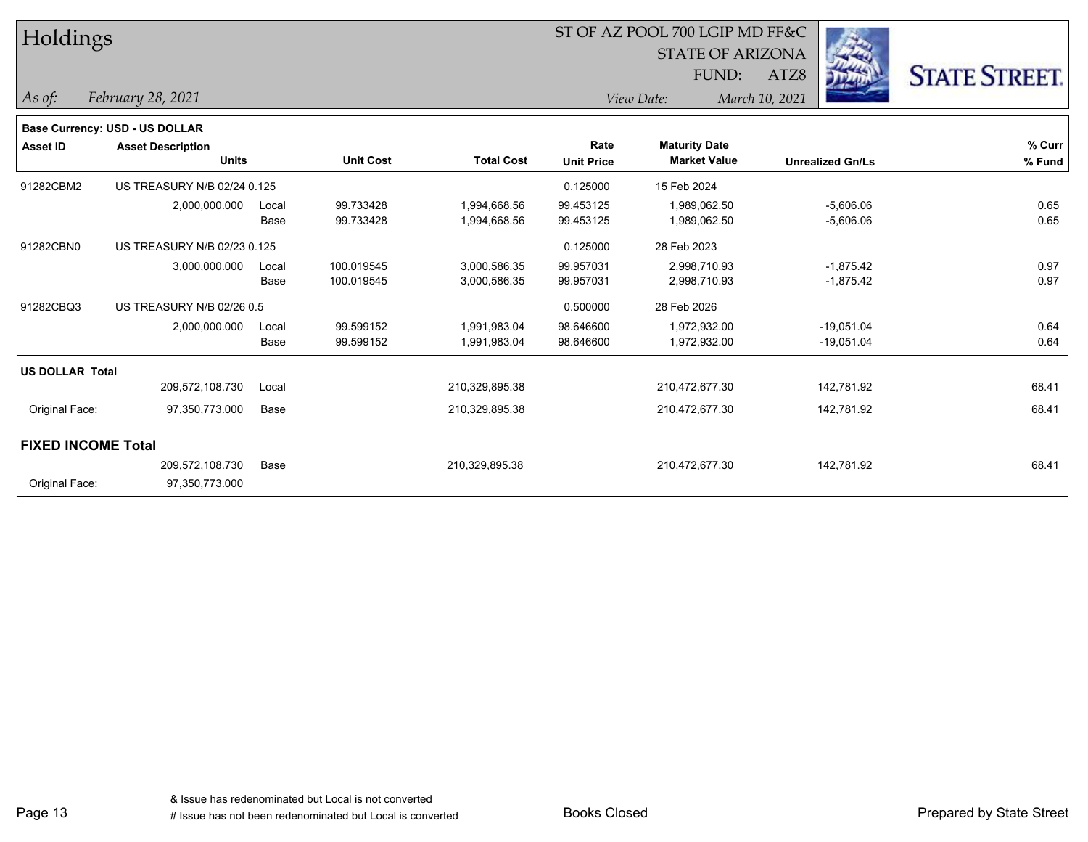| Holdings                  |                                          |               |                          |                              |                           | ST OF AZ POOL 700 LGIP MD FF&C<br><b>STATE OF ARIZONA</b> |                              |                      |  |
|---------------------------|------------------------------------------|---------------|--------------------------|------------------------------|---------------------------|-----------------------------------------------------------|------------------------------|----------------------|--|
|                           |                                          |               |                          |                              |                           | FUND:                                                     | ATZ8                         | <b>STATE STREET.</b> |  |
| As of:                    | February 28, 2021                        |               |                          |                              |                           | View Date:                                                | March 10, 2021               |                      |  |
|                           | <b>Base Currency: USD - US DOLLAR</b>    |               |                          |                              |                           |                                                           |                              |                      |  |
| <b>Asset ID</b>           | <b>Asset Description</b><br><b>Units</b> |               | <b>Unit Cost</b>         | <b>Total Cost</b>            | Rate<br><b>Unit Price</b> | <b>Maturity Date</b><br><b>Market Value</b>               | <b>Unrealized Gn/Ls</b>      | % Curr<br>% Fund     |  |
| 91282CBM2                 | US TREASURY N/B 02/24 0.125              |               |                          |                              | 0.125000                  | 15 Feb 2024                                               |                              |                      |  |
|                           | 2,000,000.000                            | Local<br>Base | 99.733428<br>99.733428   | 1,994,668.56<br>1,994,668.56 | 99.453125<br>99.453125    | 1,989,062.50<br>1,989,062.50                              | $-5,606.06$<br>$-5,606.06$   | 0.65<br>0.65         |  |
| 91282CBN0                 | US TREASURY N/B 02/23 0.125              |               |                          |                              | 0.125000                  | 28 Feb 2023                                               |                              |                      |  |
|                           | 3,000,000.000                            | Local<br>Base | 100.019545<br>100.019545 | 3,000,586.35<br>3,000,586.35 | 99.957031<br>99.957031    | 2,998,710.93<br>2,998,710.93                              | $-1,875.42$<br>$-1,875.42$   | 0.97<br>0.97         |  |
| 91282CBQ3                 | US TREASURY N/B 02/26 0.5                |               |                          |                              | 0.500000                  | 28 Feb 2026                                               |                              |                      |  |
|                           | 2,000,000.000                            | Local<br>Base | 99.599152<br>99.599152   | 1,991,983.04<br>1,991,983.04 | 98.646600<br>98.646600    | 1,972,932.00<br>1,972,932.00                              | $-19,051.04$<br>$-19,051.04$ | 0.64<br>0.64         |  |
| <b>US DOLLAR Total</b>    |                                          |               |                          |                              |                           |                                                           |                              |                      |  |
|                           | 209,572,108.730                          | Local         |                          | 210,329,895.38               |                           | 210,472,677.30                                            | 142,781.92                   | 68.41                |  |
| Original Face:            | 97,350,773.000                           | Base          |                          | 210,329,895.38               |                           | 210,472,677.30                                            | 142,781.92                   | 68.41                |  |
| <b>FIXED INCOME Total</b> |                                          |               |                          |                              |                           |                                                           |                              |                      |  |
|                           | 209,572,108.730                          | Base          |                          | 210,329,895.38               |                           | 210,472,677.30                                            | 142,781.92                   | 68.41                |  |
| Original Face:            | 97,350,773.000                           |               |                          |                              |                           |                                                           |                              |                      |  |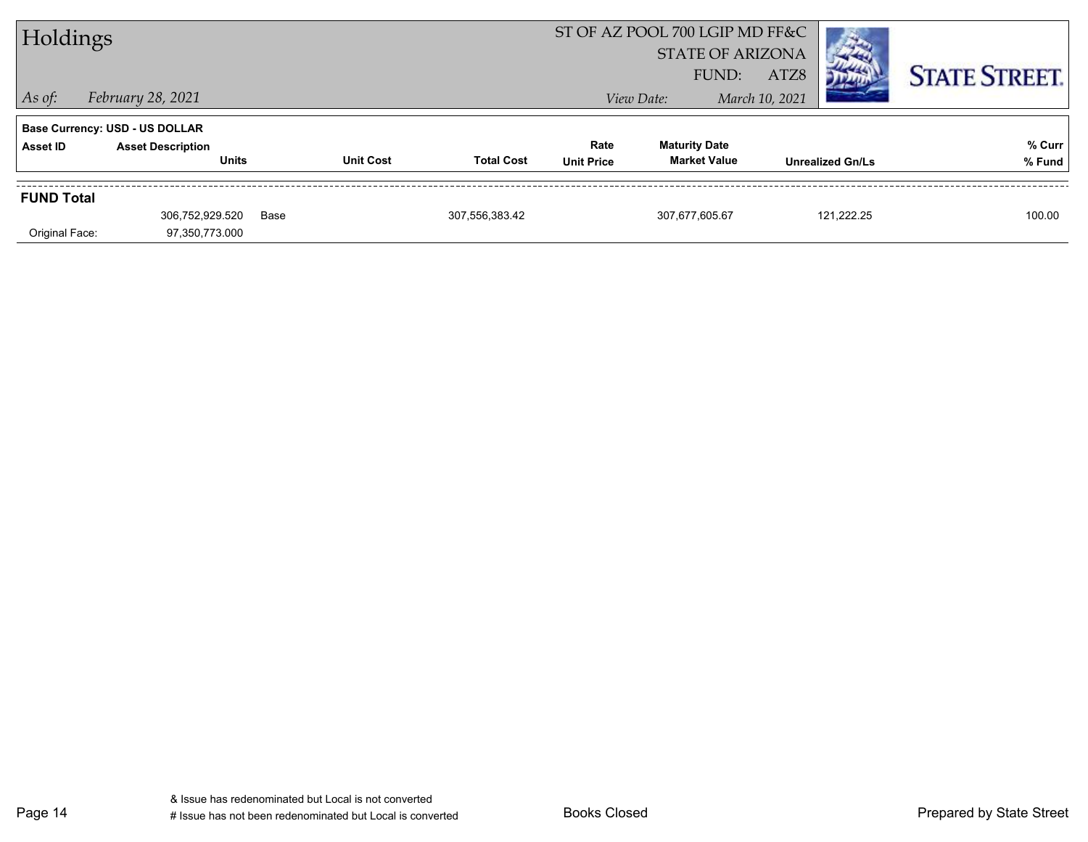| Holdings          |                                       |      |                  |                   | ST OF AZ POOL 700 LGIP MD FF&C |                         |                |                         |                      |
|-------------------|---------------------------------------|------|------------------|-------------------|--------------------------------|-------------------------|----------------|-------------------------|----------------------|
|                   |                                       |      |                  |                   |                                | <b>STATE OF ARIZONA</b> |                |                         |                      |
|                   |                                       |      |                  |                   |                                | FUND:                   | ATZ8           |                         | <b>STATE STREET.</b> |
| $\vert$ As of:    | February 28, 2021                     |      |                  |                   |                                | View Date:              | March 10, 2021 |                         |                      |
|                   | <b>Base Currency: USD - US DOLLAR</b> |      |                  |                   |                                |                         |                |                         |                      |
| Asset ID          | <b>Asset Description</b>              |      |                  |                   | Rate                           | <b>Maturity Date</b>    |                |                         | % Curr               |
|                   | <b>Units</b>                          |      | <b>Unit Cost</b> | <b>Total Cost</b> | <b>Unit Price</b>              | <b>Market Value</b>     |                | <b>Unrealized Gn/Ls</b> | % Fund               |
| <b>FUND Total</b> |                                       |      |                  |                   |                                |                         |                |                         |                      |
|                   | 306,752,929.520                       | Base |                  | 307,556,383.42    |                                | 307.677.605.67          |                | 121.222.25              | 100.00               |
| Original Face:    | 97,350,773.000                        |      |                  |                   |                                |                         |                |                         |                      |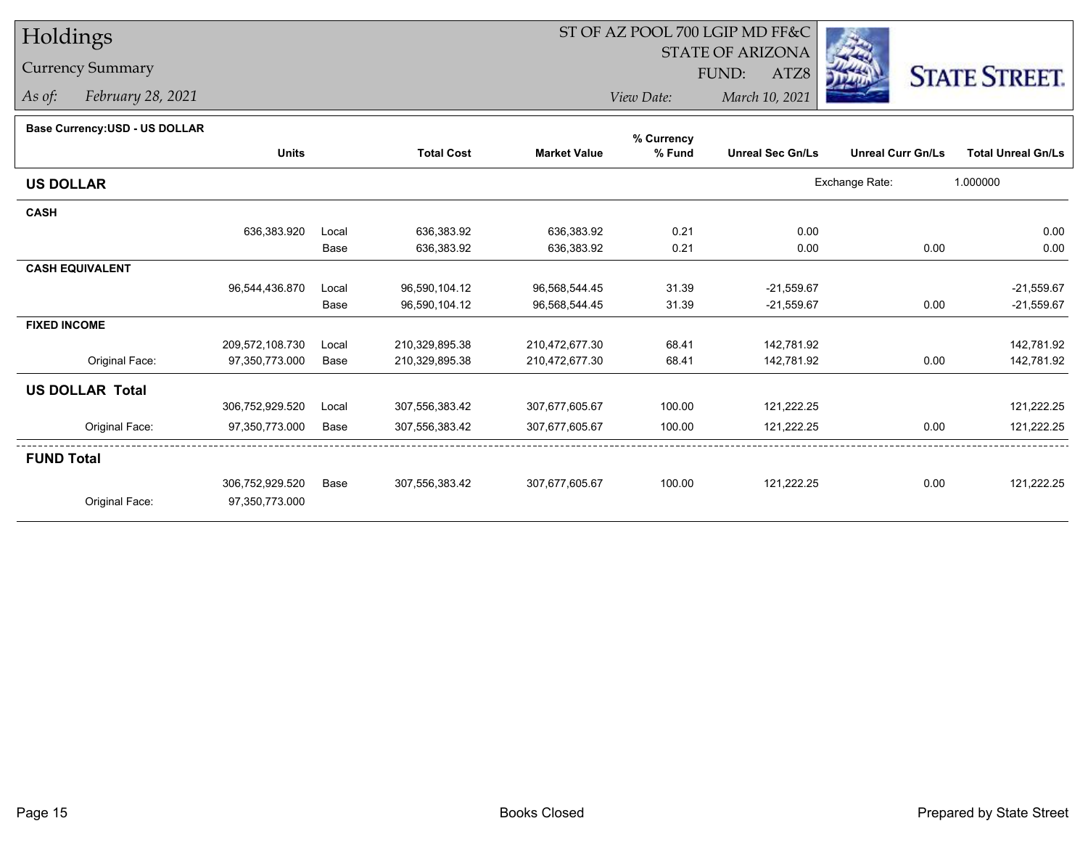## Currency Summary

*As of: February 28, 2021*

## ST OF AZ POOL 700 LGIP MD FF&C

STATE OF ARIZONA

ATZ8



*View Date: March 10, 2021*FUND:

| Base Currency: USD - US DOLLAR |
|--------------------------------|
|--------------------------------|

| <b>Dase OdiTency.00D - 00 DOLLAR</b> |                 |       |                   |                     | % Currency |                         |                          |                           |
|--------------------------------------|-----------------|-------|-------------------|---------------------|------------|-------------------------|--------------------------|---------------------------|
|                                      | <b>Units</b>    |       | <b>Total Cost</b> | <b>Market Value</b> | % Fund     | <b>Unreal Sec Gn/Ls</b> | <b>Unreal Curr Gn/Ls</b> | <b>Total Unreal Gn/Ls</b> |
| <b>US DOLLAR</b>                     |                 |       |                   |                     |            |                         | Exchange Rate:           | 1.000000                  |
| <b>CASH</b>                          |                 |       |                   |                     |            |                         |                          |                           |
|                                      | 636,383.920     | Local | 636,383.92        | 636,383.92          | 0.21       | 0.00                    |                          | 0.00                      |
|                                      |                 | Base  | 636,383.92        | 636,383.92          | 0.21       | 0.00                    | 0.00                     | 0.00                      |
| <b>CASH EQUIVALENT</b>               |                 |       |                   |                     |            |                         |                          |                           |
|                                      | 96,544,436.870  | Local | 96,590,104.12     | 96,568,544.45       | 31.39      | $-21,559.67$            |                          | $-21,559.67$              |
|                                      |                 | Base  | 96,590,104.12     | 96,568,544.45       | 31.39      | $-21,559.67$            | 0.00                     | $-21,559.67$              |
| <b>FIXED INCOME</b>                  |                 |       |                   |                     |            |                         |                          |                           |
|                                      | 209,572,108.730 | Local | 210,329,895.38    | 210,472,677.30      | 68.41      | 142,781.92              |                          | 142,781.92                |
| Original Face:                       | 97,350,773.000  | Base  | 210,329,895.38    | 210,472,677.30      | 68.41      | 142,781.92              | 0.00                     | 142,781.92                |
| <b>US DOLLAR Total</b>               |                 |       |                   |                     |            |                         |                          |                           |
|                                      | 306,752,929.520 | Local | 307,556,383.42    | 307,677,605.67      | 100.00     | 121,222.25              |                          | 121,222.25                |
| Original Face:                       | 97,350,773.000  | Base  | 307,556,383.42    | 307,677,605.67      | 100.00     | 121,222.25              | 0.00                     | 121,222.25                |
| <b>FUND Total</b>                    |                 |       |                   |                     |            |                         |                          |                           |
|                                      | 306,752,929.520 | Base  | 307,556,383.42    | 307,677,605.67      | 100.00     | 121,222.25              | 0.00                     | 121,222.25                |
| Original Face:                       | 97,350,773.000  |       |                   |                     |            |                         |                          |                           |
|                                      |                 |       |                   |                     |            |                         |                          |                           |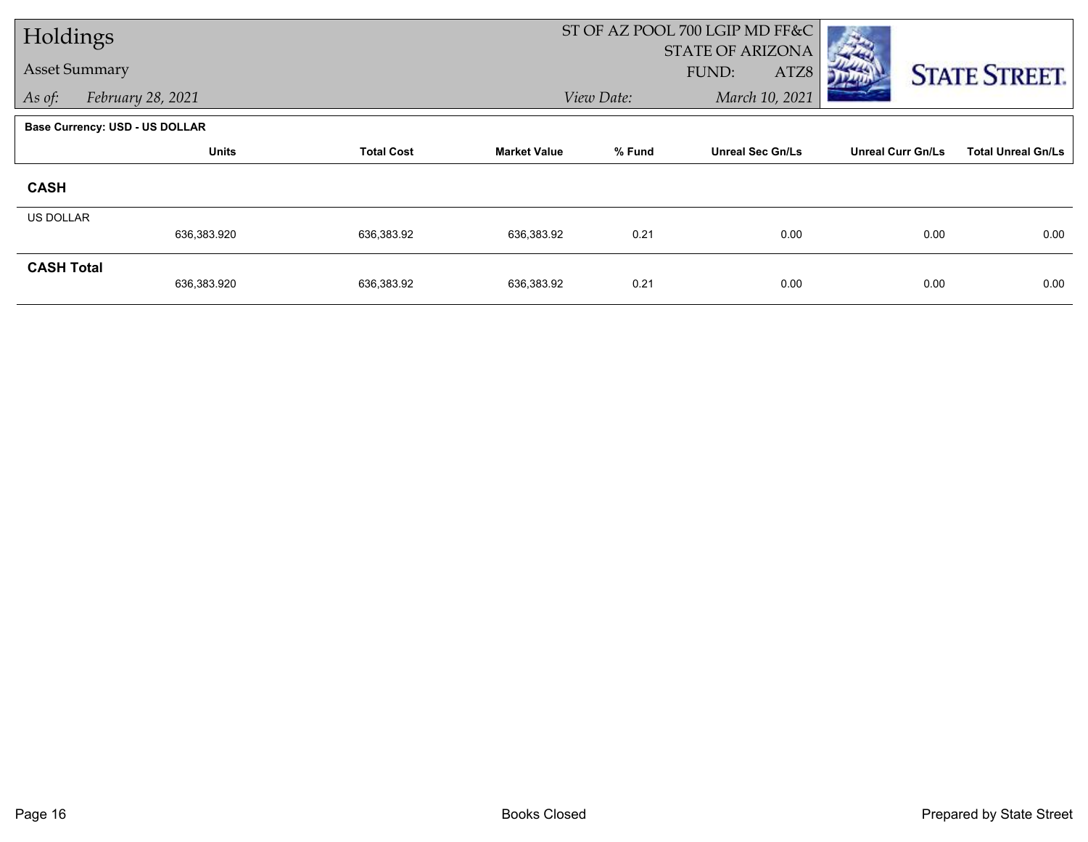| Holdings             |                                       |                   |                     |            | ST OF AZ POOL 700 LGIP MD FF&C           |                          |                           |
|----------------------|---------------------------------------|-------------------|---------------------|------------|------------------------------------------|--------------------------|---------------------------|
| <b>Asset Summary</b> |                                       |                   |                     |            | <b>STATE OF ARIZONA</b><br>FUND:<br>ATZ8 |                          |                           |
| As of:               | February 28, 2021                     |                   |                     | View Date: | March 10, 2021                           |                          | <b>STATE STREET.</b>      |
|                      | <b>Base Currency: USD - US DOLLAR</b> |                   |                     |            |                                          |                          |                           |
|                      | <b>Units</b>                          | <b>Total Cost</b> | <b>Market Value</b> | % Fund     | <b>Unreal Sec Gn/Ls</b>                  | <b>Unreal Curr Gn/Ls</b> | <b>Total Unreal Gn/Ls</b> |
| <b>CASH</b>          |                                       |                   |                     |            |                                          |                          |                           |
| <b>US DOLLAR</b>     |                                       |                   |                     |            |                                          |                          | 0.00                      |
|                      | 636,383.920                           | 636,383.92        | 636,383.92          | 0.21       | 0.00                                     | 0.00                     |                           |
| <b>CASH Total</b>    | 636,383.920                           | 636,383.92        | 636,383.92          | 0.21       | 0.00                                     | 0.00                     | 0.00                      |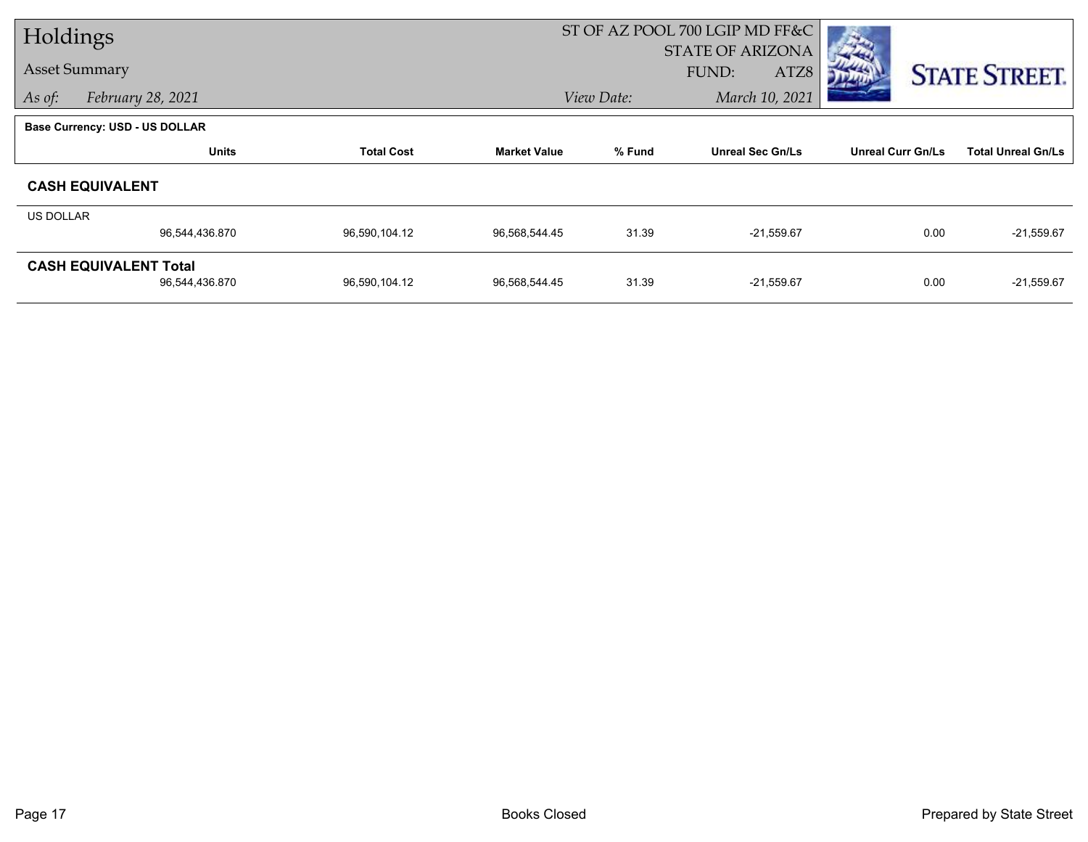| Holdings  |                                       |                   |                     | ST OF AZ POOL 700 LGIP MD FF&C |                         |                          |                           |
|-----------|---------------------------------------|-------------------|---------------------|--------------------------------|-------------------------|--------------------------|---------------------------|
|           |                                       |                   |                     |                                | <b>STATE OF ARIZONA</b> |                          |                           |
|           | <b>Asset Summary</b>                  |                   |                     |                                | <b>FUND:</b><br>ATZ8    |                          | <b>STATE STREET.</b>      |
| As of:    | February 28, 2021                     |                   |                     | View Date:                     | March 10, 2021          |                          |                           |
|           | <b>Base Currency: USD - US DOLLAR</b> |                   |                     |                                |                         |                          |                           |
|           | <b>Units</b>                          | <b>Total Cost</b> | <b>Market Value</b> | % Fund                         | <b>Unreal Sec Gn/Ls</b> | <b>Unreal Curr Gn/Ls</b> | <b>Total Unreal Gn/Ls</b> |
|           | <b>CASH EQUIVALENT</b>                |                   |                     |                                |                         |                          |                           |
| US DOLLAR |                                       |                   |                     |                                |                         |                          |                           |
|           | 96,544,436.870                        | 96,590,104.12     | 96,568,544.45       | 31.39                          | $-21,559.67$            | 0.00                     | $-21,559.67$              |
|           | <b>CASH EQUIVALENT Total</b>          |                   |                     |                                |                         |                          |                           |
|           | 96,544,436.870                        | 96,590,104.12     | 96,568,544.45       | 31.39                          | $-21,559.67$            | 0.00                     | $-21,559.67$              |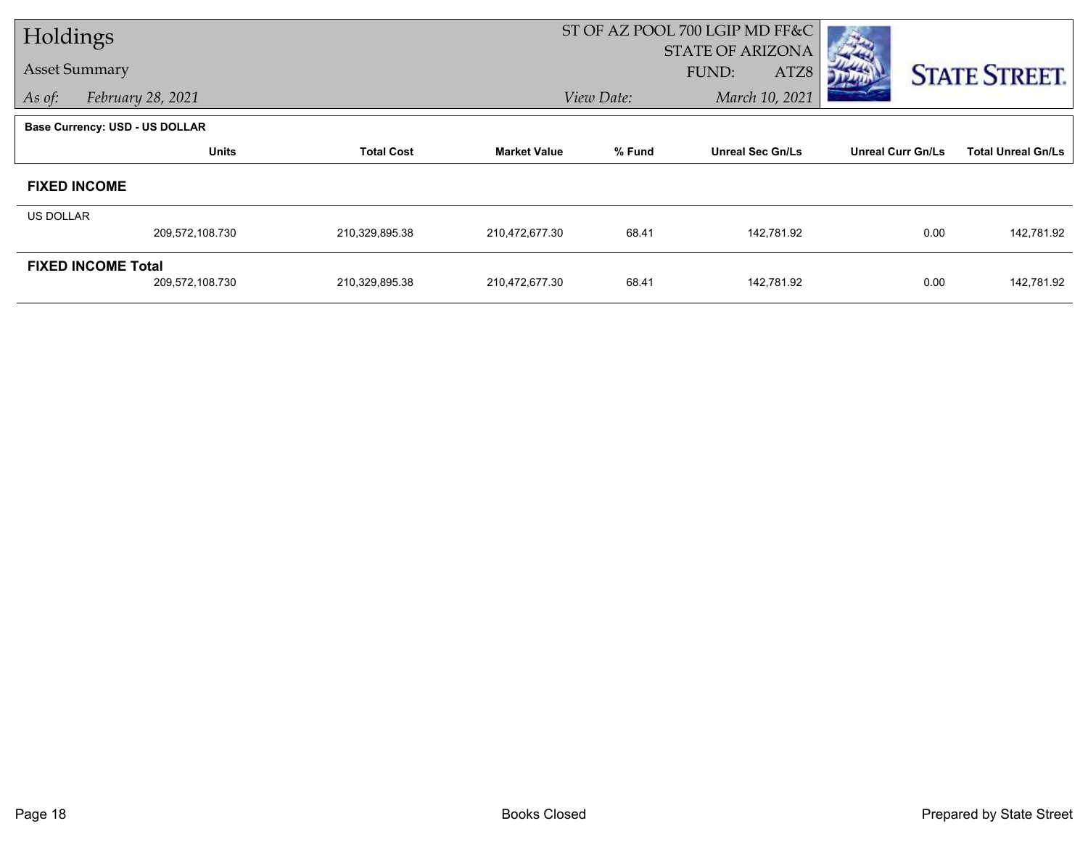| Holdings         |                                       |                   |                     |            | ST OF AZ POOL 700 LGIP MD FF&C |                          |                           |
|------------------|---------------------------------------|-------------------|---------------------|------------|--------------------------------|--------------------------|---------------------------|
|                  |                                       |                   |                     |            | <b>STATE OF ARIZONA</b>        |                          |                           |
|                  | <b>Asset Summary</b>                  |                   |                     |            | FUND:<br>ATZ8                  |                          | <b>STATE STREET.</b>      |
| As of:           | February 28, 2021                     |                   |                     | View Date: | March 10, 2021                 |                          |                           |
|                  | <b>Base Currency: USD - US DOLLAR</b> |                   |                     |            |                                |                          |                           |
|                  | <b>Units</b>                          | <b>Total Cost</b> | <b>Market Value</b> | % Fund     | <b>Unreal Sec Gn/Ls</b>        | <b>Unreal Curr Gn/Ls</b> | <b>Total Unreal Gn/Ls</b> |
|                  | <b>FIXED INCOME</b>                   |                   |                     |            |                                |                          |                           |
| <b>US DOLLAR</b> |                                       |                   |                     |            |                                |                          |                           |
|                  | 209,572,108.730                       | 210,329,895.38    | 210,472,677.30      | 68.41      | 142,781.92                     | 0.00                     | 142,781.92                |
|                  | <b>FIXED INCOME Total</b>             |                   |                     |            |                                |                          |                           |
|                  | 209,572,108.730                       | 210,329,895.38    | 210,472,677.30      | 68.41      | 142,781.92                     | 0.00                     | 142,781.92                |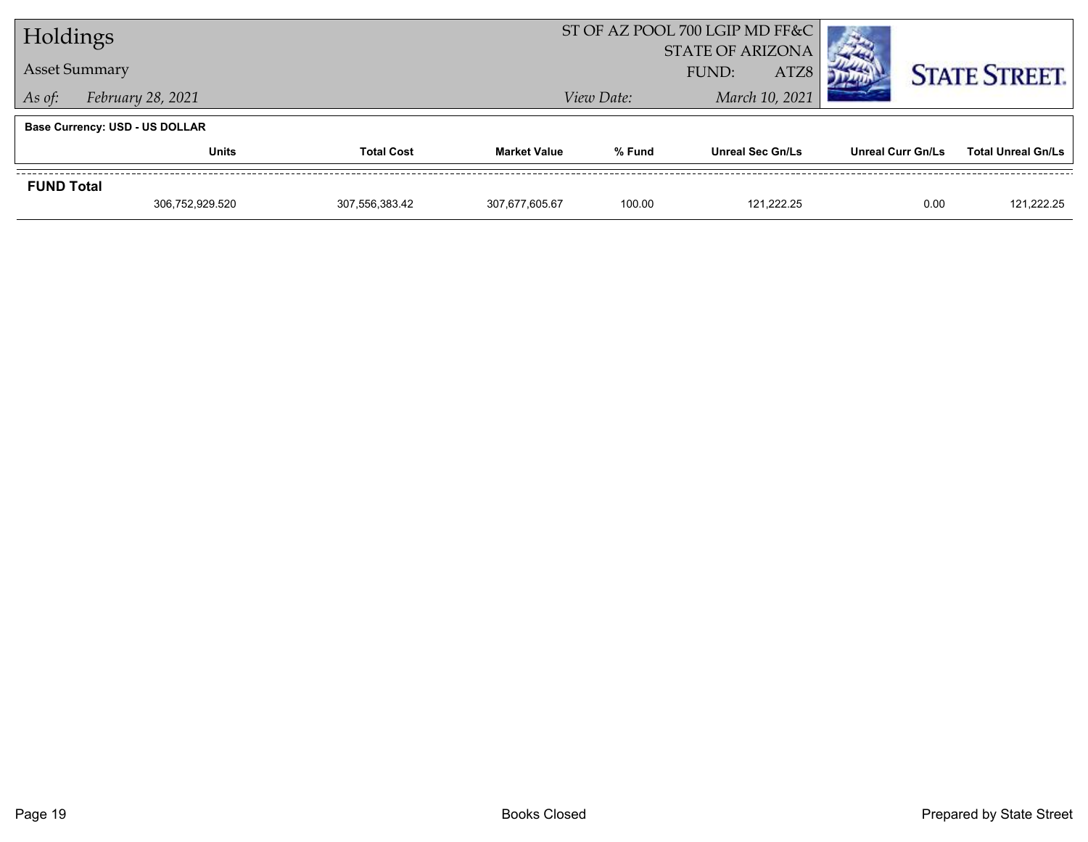| Holdings          |                                       |                |                     | ST OF AZ POOL 700 LGIP MD FF&C |                         |                   |                           |
|-------------------|---------------------------------------|----------------|---------------------|--------------------------------|-------------------------|-------------------|---------------------------|
|                   |                                       |                |                     | <b>STATE OF ARIZONA</b>        |                         |                   |                           |
|                   | <b>Asset Summary</b>                  |                |                     | ATZ8<br>FUND:                  |                         |                   | <b>STATE STREET.</b>      |
| As of:            | February 28, 2021                     |                |                     | View Date:                     | March 10, 2021          |                   |                           |
|                   | <b>Base Currency: USD - US DOLLAR</b> |                |                     |                                |                         |                   |                           |
|                   | <b>Units</b><br><b>Total Cost</b>     |                | <b>Market Value</b> | % Fund                         | <b>Unreal Sec Gn/Ls</b> | Unreal Curr Gn/Ls | <b>Total Unreal Gn/Ls</b> |
| <b>FUND Total</b> |                                       |                |                     |                                |                         |                   |                           |
|                   | 306,752,929.520                       | 307,556,383.42 | 307.677.605.67      | 100.00                         | 121.222.25              | 0.00              | 121,222.25                |